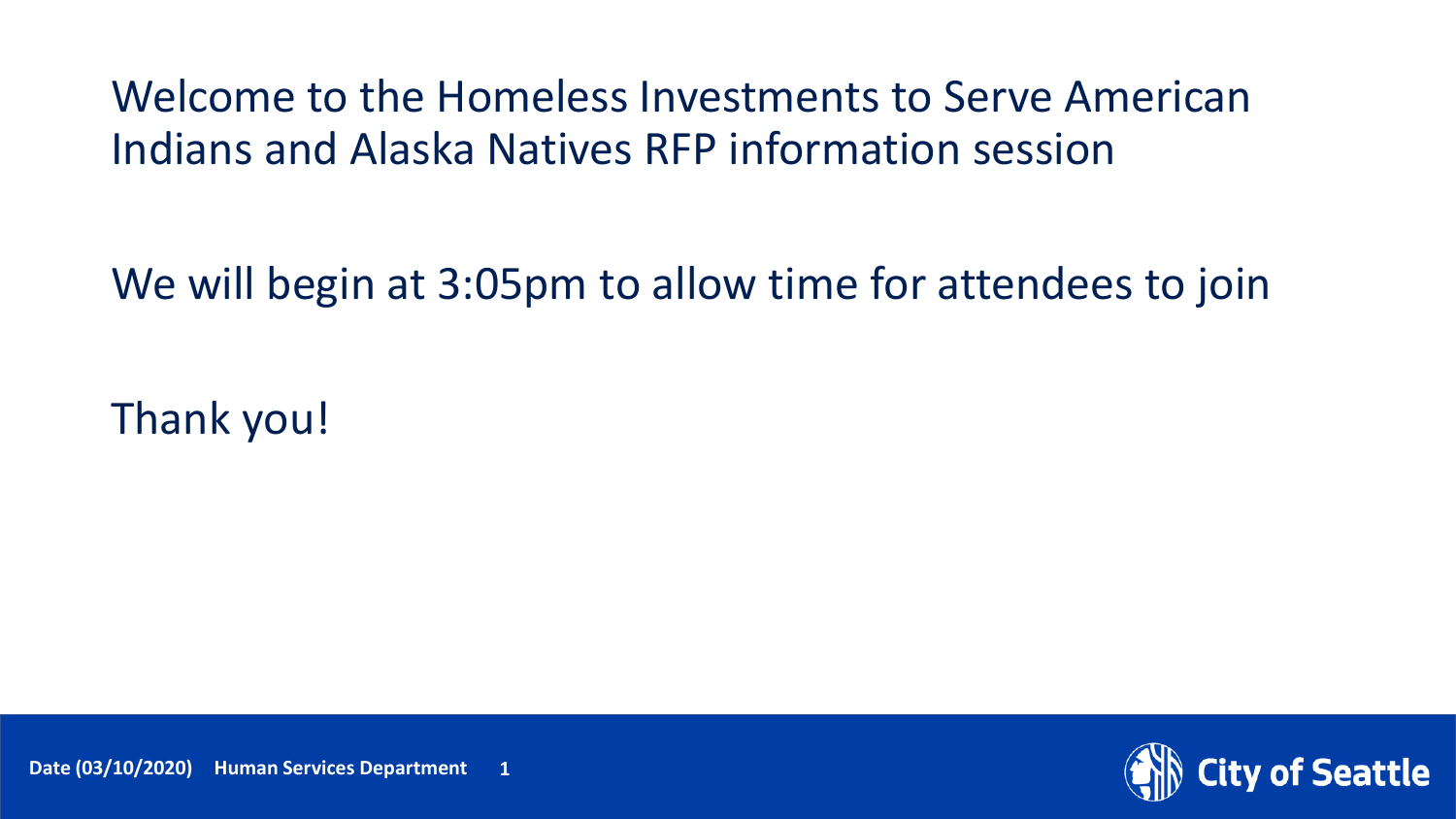Welcome to the Homeless Investments to Serve American Indians and Alaska Natives RFP information session

We will begin at 3:05pm to allow time for attendees to join

Thank you!

**y of Seattle**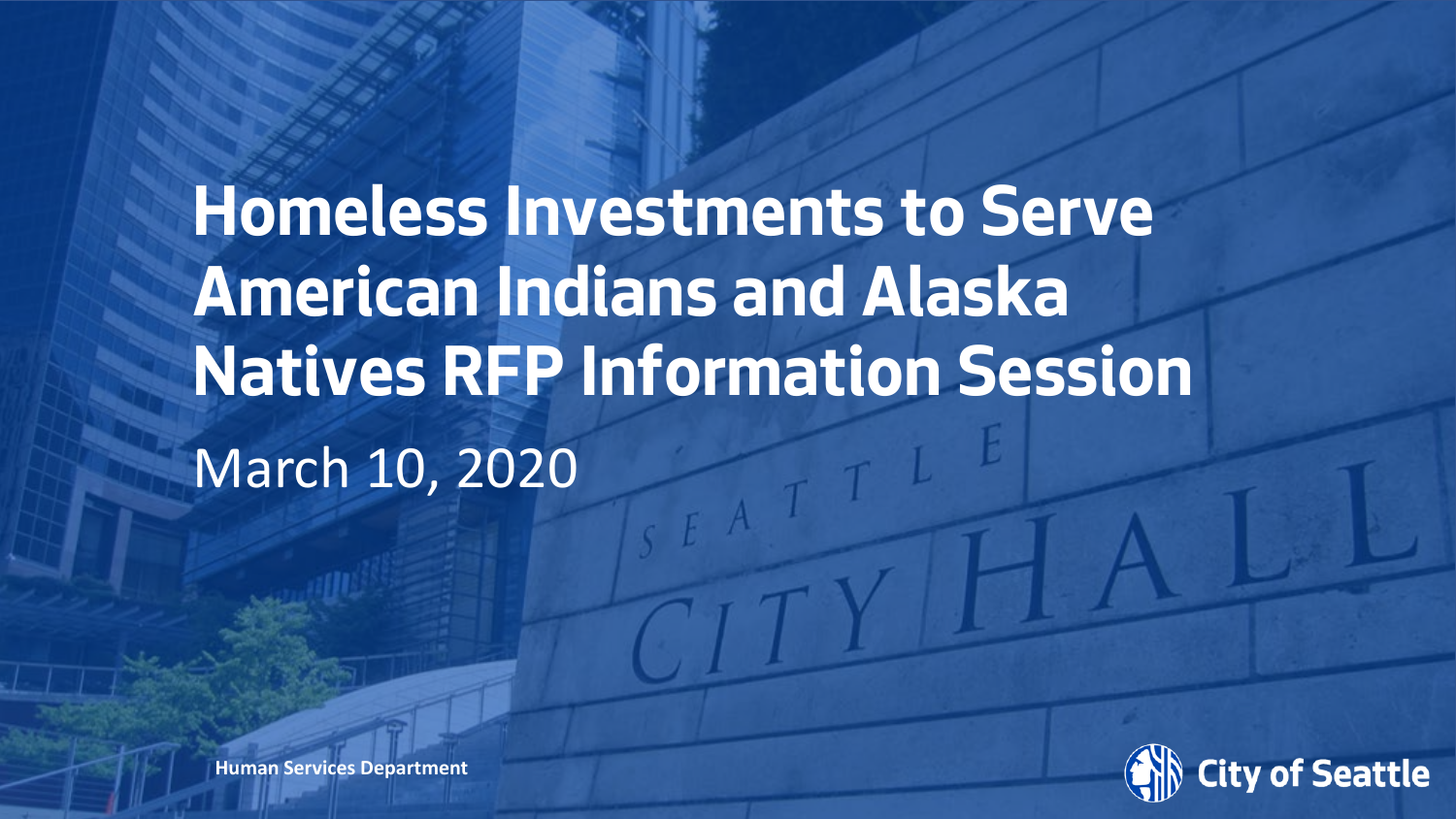# **Homeless Investments to Serve American Indians and Alaska Natives RFP Information Session** March 10, 2020



**Human Services Department**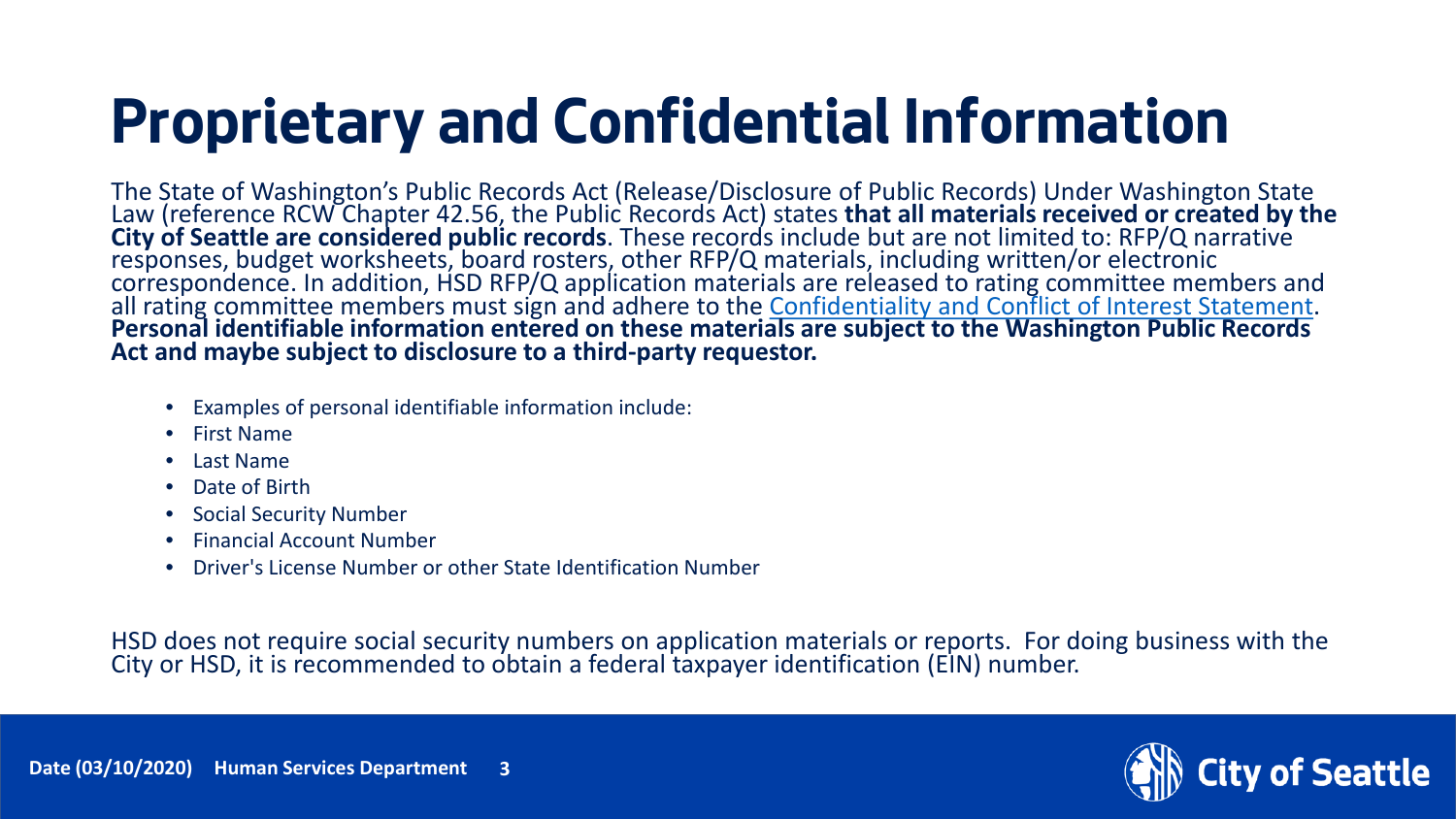## **Proprietary and Confidential Information**

The State of Washington's Public Records Act (Release/Disclosure of Public Records) Under Washington State Law (reference RCW Chapter 42.56, the Public Records Act) states that all materials received or created by the<br>City of Seattle are considered public records. These records include but are not limited to: RFP/Q narrative correspondence. In addition, HSD RFP/Q application materials are released to rating committee members and all rating committee members must sign and adhere to the [Confidentiality and Conflict of Interest Statement](http://www.seattle.gov/humanservices/funding-and-reports/how-to-do-business-with-hsd). **Personal identifiable information entered on these materials are subject to the Washington Public Records Act and maybe subject to disclosure to a third-party requestor.**

- Examples of personal identifiable information include:
- First Name
- Last Name
- Date of Birth
- Social Security Number
- Financial Account Number
- Driver's License Number or other State Identification Number

HSD does not require social security numbers on application materials or reports. For doing business with the City or HSD, it is recommended to obtain a federal taxpayer identification (EIN) number.



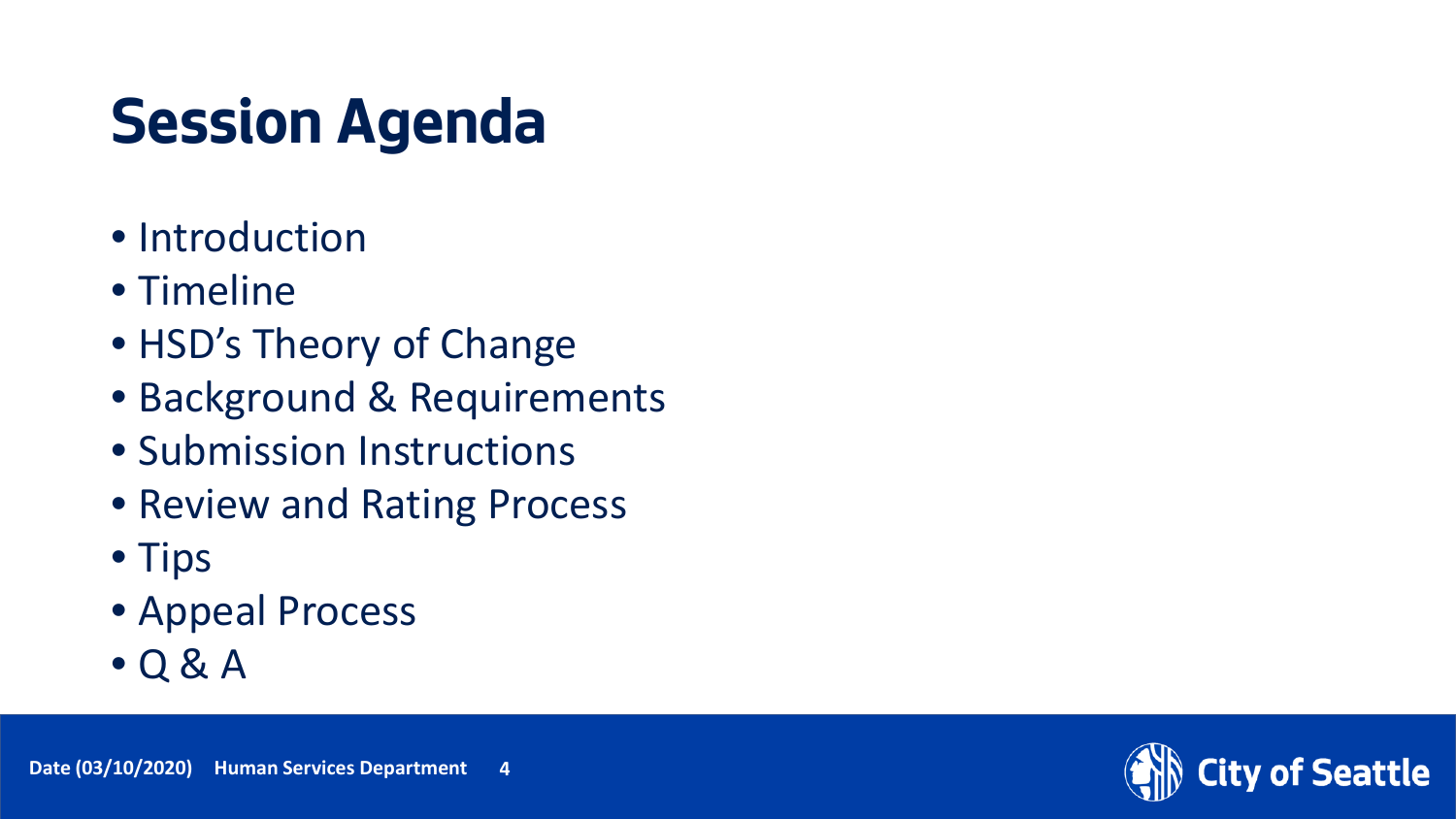# **Session Agenda**

- Introduction
- Timeline
- HSD's Theory of Change
- Background & Requirements
- Submission Instructions
- Review and Rating Process
- Tips
- Appeal Process
- $\bullet$  Q & A



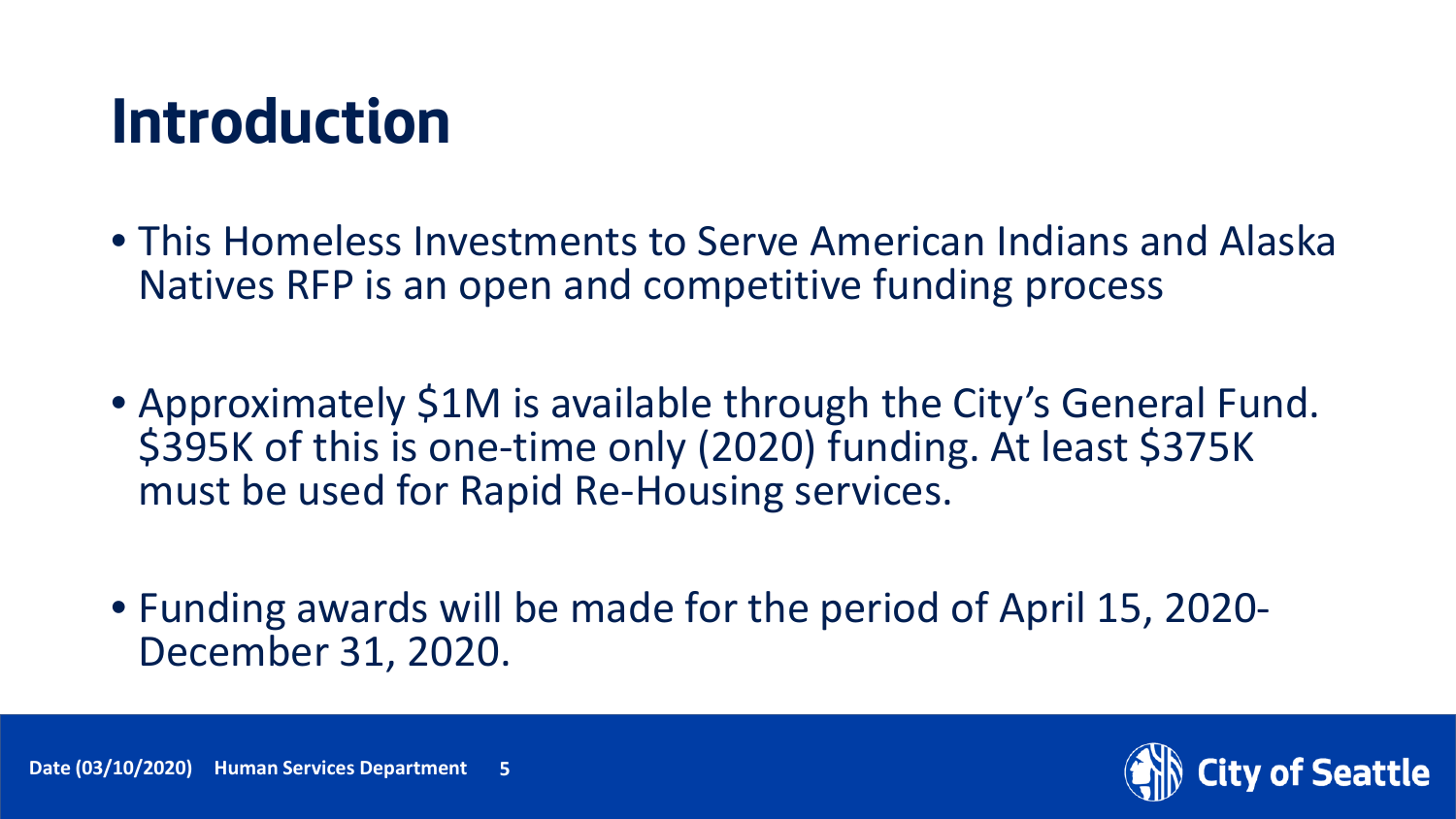#### **Introduction**

- This Homeless Investments to Serve American Indians and Alaska Natives RFP is an open and competitive funding process
- Approximately \$1M is available through the City's General Fund. \$395K of this is one-time only (2020) funding. At least \$375K must be used for Rapid Re-Housing services.
- Funding awards will be made for the period of April 15, 2020- December 31, 2020.



of Seattle

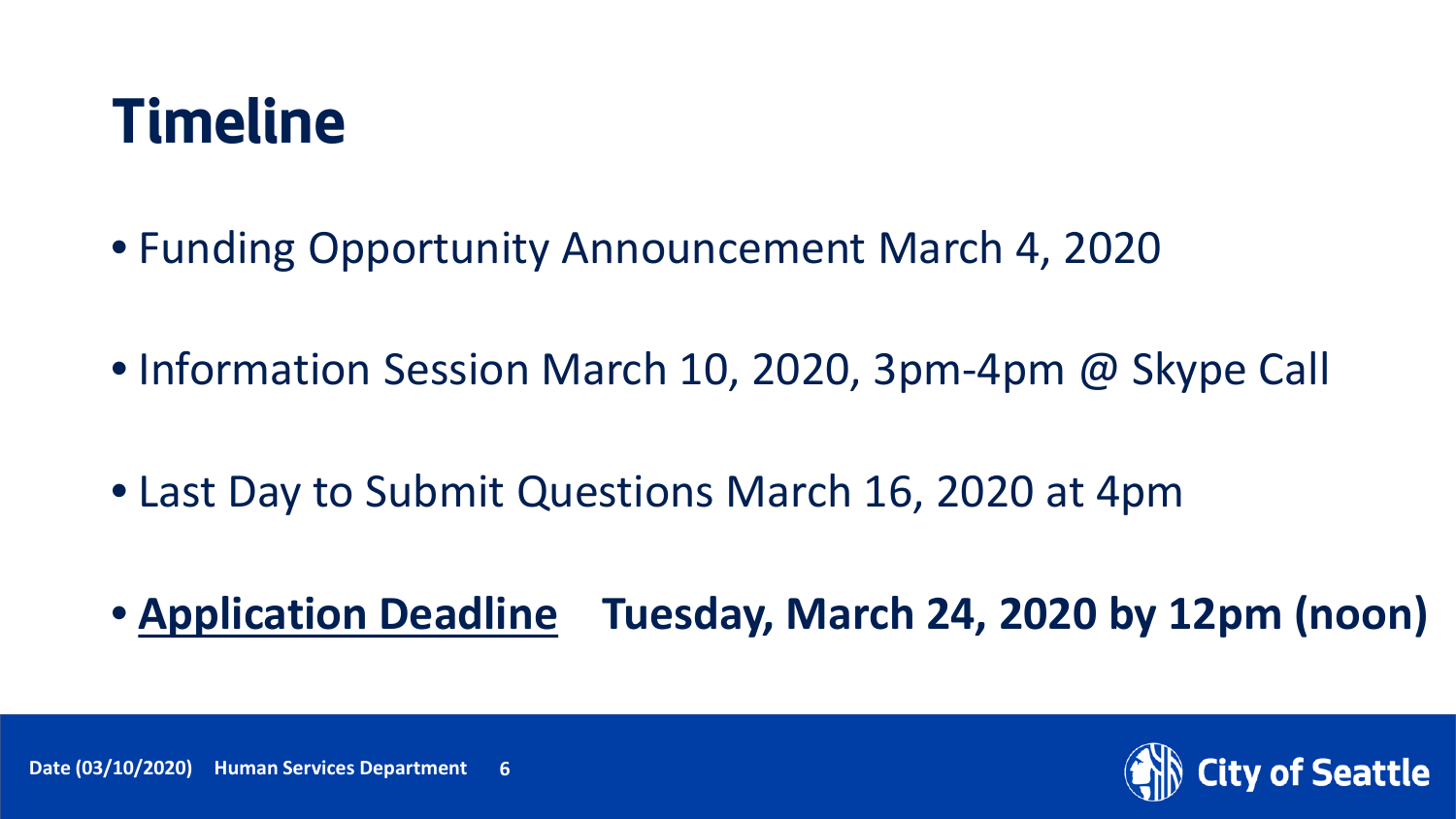#### **Timeline**

- Funding Opportunity Announcement March 4, 2020
- Information Session March 10, 2020, 3pm-4pm @ Skype Call
- Last Day to Submit Questions March 16, 2020 at 4pm
- **Application Deadline Tuesday, March 24, 2020 by 12pm (noon)**

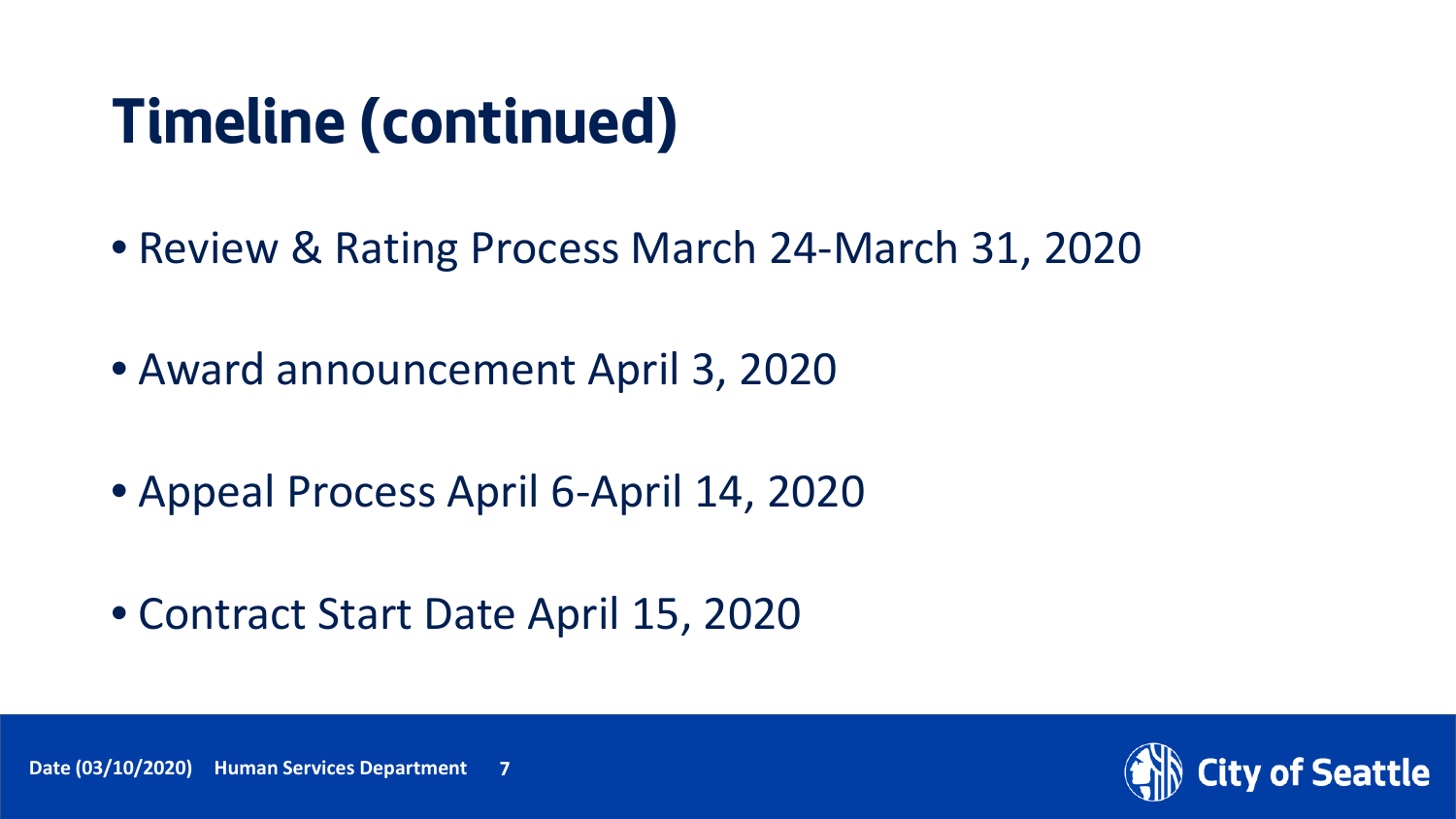#### **Timeline (continued)**

- Review & Rating Process March 24-March 31, 2020
- Award announcement April 3, 2020
- Appeal Process April 6-April 14, 2020
- Contract Start Date April 15, 2020

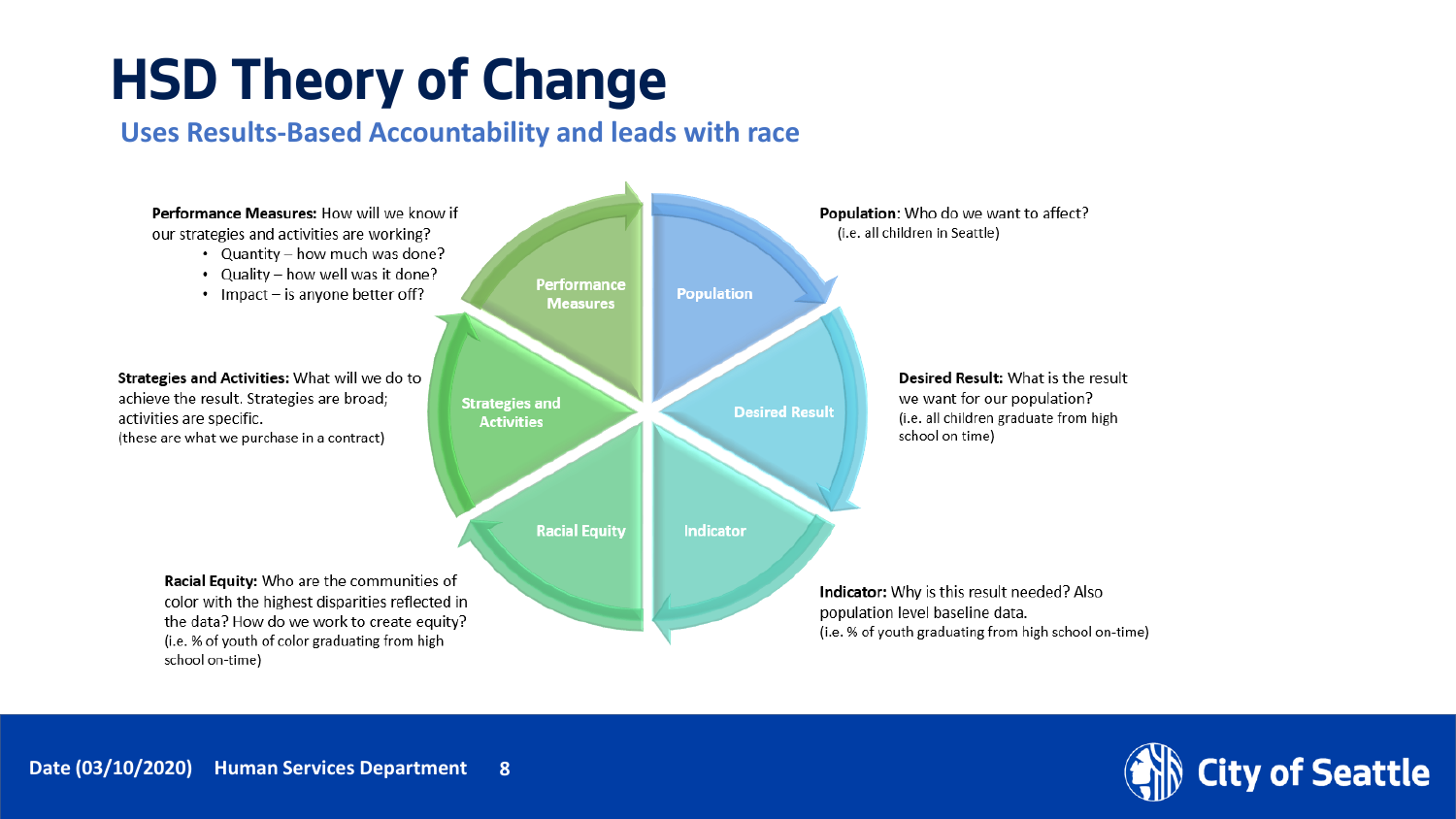#### **HSD Theory of Change**

#### **Uses Results-Based Accountability and leads with race**



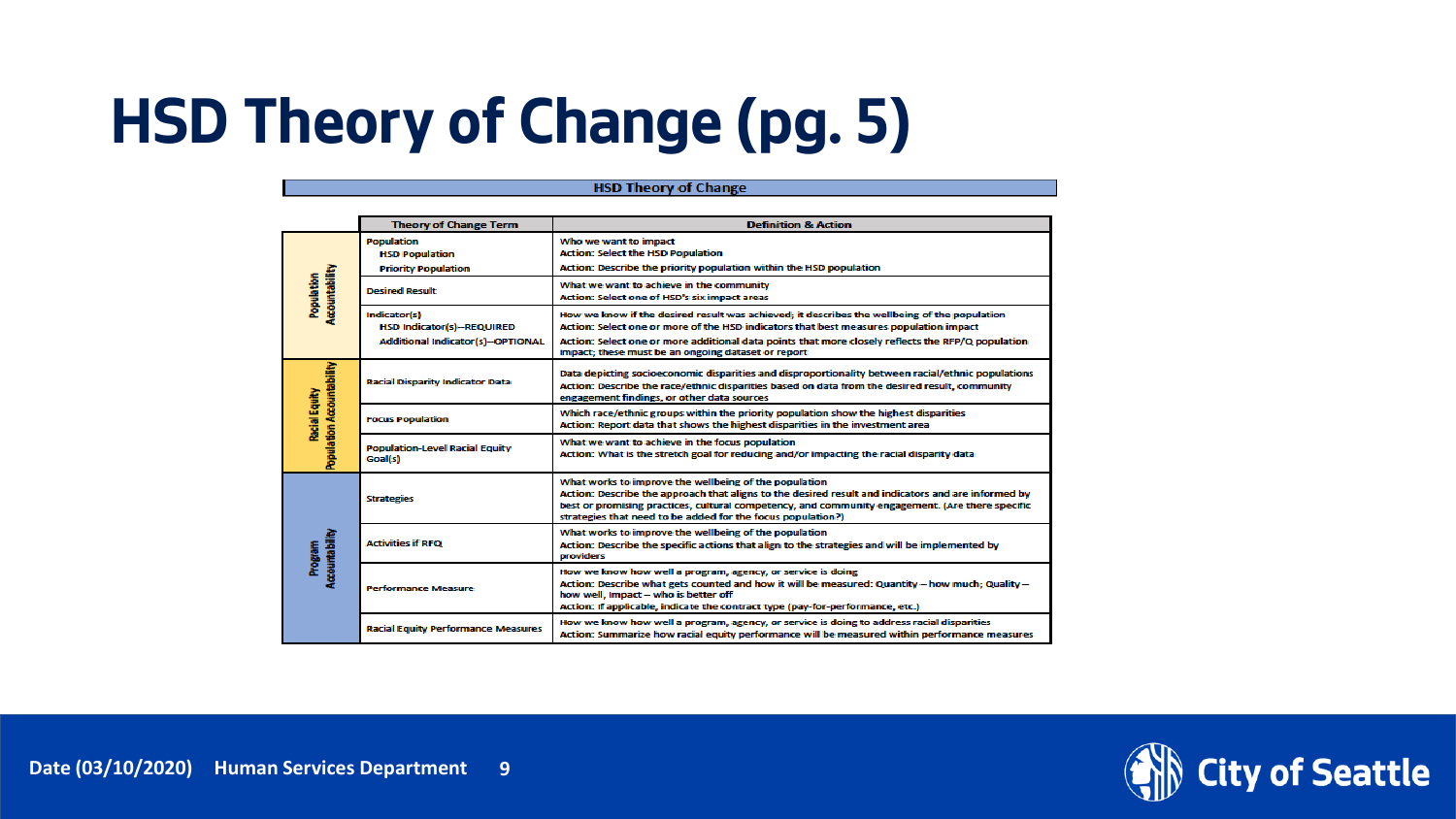#### **HSD Theory of Change (pg. 5)**

|                                            | <b>Theory of Change Term</b>                                             | <b>Definition &amp; Action</b>                                                                                                                                                                                                                                                                                                |  |
|--------------------------------------------|--------------------------------------------------------------------------|-------------------------------------------------------------------------------------------------------------------------------------------------------------------------------------------------------------------------------------------------------------------------------------------------------------------------------|--|
| Accountability<br>Population               | <b>Population</b><br><b>HSD Population</b><br><b>Priority Population</b> | Who we want to impact<br><b>Action: Select the HSD Population</b><br>Action: Describe the priority population within the HSD population                                                                                                                                                                                       |  |
|                                            | <b>Desired Result</b>                                                    | What we want to achieve in the community<br>Action: Select one of HSD's six impact areas                                                                                                                                                                                                                                      |  |
|                                            | Indicator(s)<br><b>HSD Indicator(s)--REQUIRED</b>                        | How we know if the desired result was achieved; it describes the wellbeing of the population<br>Action: Select one or more of the HSD indicators that best measures population impact                                                                                                                                         |  |
|                                            | <b>Additional Indicator(s)--OPTIONAL</b>                                 | Action: Select one or more additional data points that more closely reflects the RFP/Q population<br>impact; these must be an ongoing dataset or report                                                                                                                                                                       |  |
| Population Accountability<br>Racial Equity | <b>Racial Disparity Indicator Data</b>                                   | Data depicting socioeconomic disparities and disproportionality between racial/ethnic populations<br>Action: Describe the race/ethnic disparities based on data from the desired result, community<br>engagement findings, or other data sources                                                                              |  |
|                                            | <b>Focus Population</b>                                                  | Which race/ethnic groups within the priority population show the highest disparities<br>Action: Report data that shows the highest disparities in the investment area                                                                                                                                                         |  |
|                                            | <b>Population-Level Racial Equity</b><br>Goal(s)                         | What we want to achieve in the focus population<br>Action: What is the stretch goal for reducing and/or impacting the racial disparity data                                                                                                                                                                                   |  |
| Accountability<br>Program                  | <b>Strategies</b>                                                        | What works to improve the wellbeing of the population<br>Action: Describe the approach that aligns to the desired result and indicators and are informed by<br>best or promising practices, cultural competency, and community engagement. (Are there specific<br>strategies that need to be added for the focus population?) |  |
|                                            | <b>Activities if RFO</b>                                                 | What works to improve the wellbeing of the population<br>Action: Describe the specific actions that align to the strategies and will be implemented by<br>providers                                                                                                                                                           |  |
|                                            | <b>Performance Measure</b>                                               | How we know how well a program, agency, or service is doing<br>Action: Describe what gets counted and how it will be measured: Quantity - how much; Quality -<br>how well, impact - who is better off<br>Action: If applicable, indicate the contract type (pay-for-performance, etc.)                                        |  |
|                                            | <b>Racial Equity Performance Measures</b>                                | How we know how well a program, agency, or service is doing to address racial disparities<br>Action: Summarize how racial equity performance will be measured within performance measures                                                                                                                                     |  |

**HSD Theory of Change** 

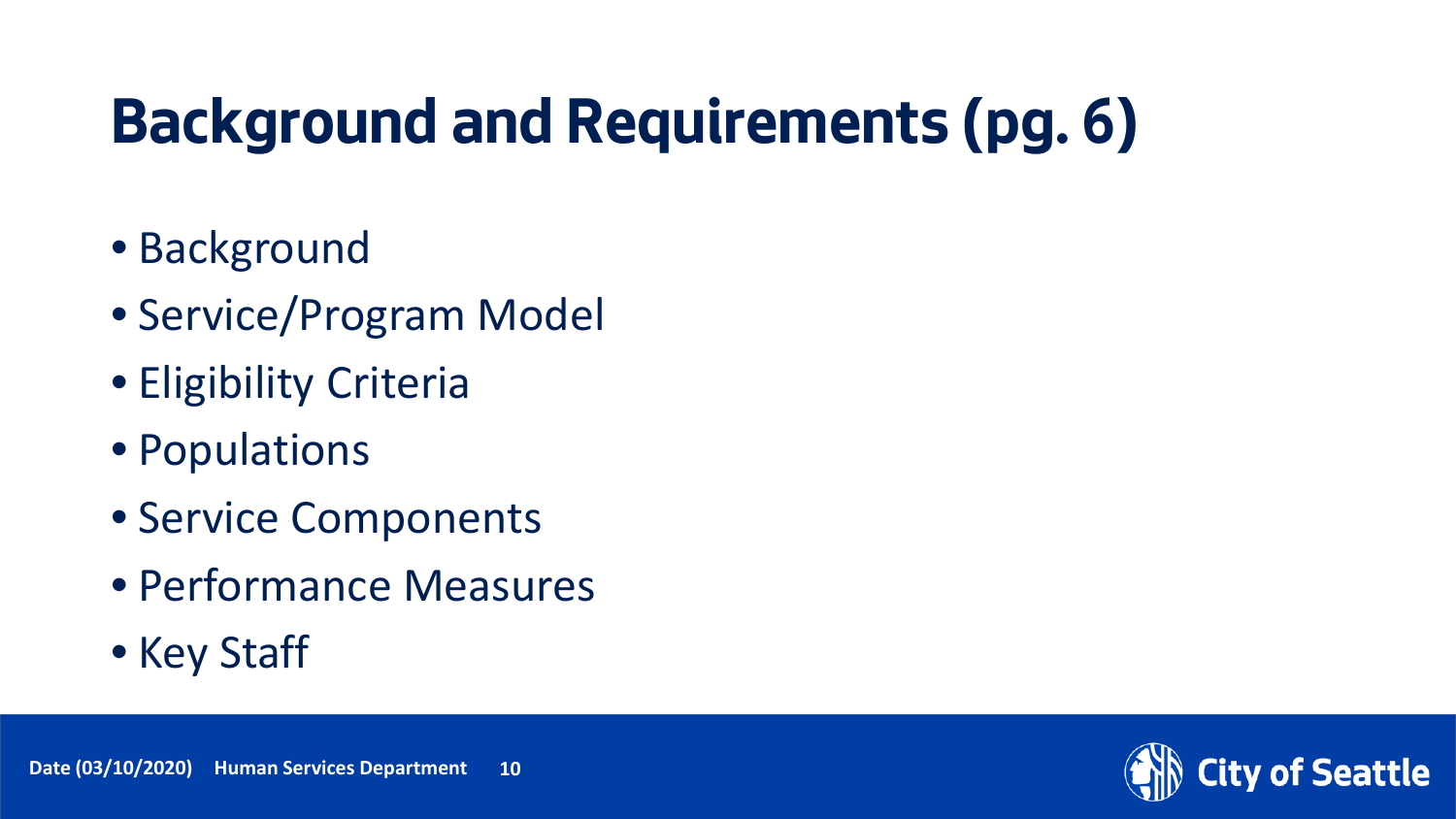#### **Background and Requirements (pg. 6)**

- Background
- Service/Program Model
- Eligibility Criteria
- Populations
- Service Components
- Performance Measures
- Key Staff

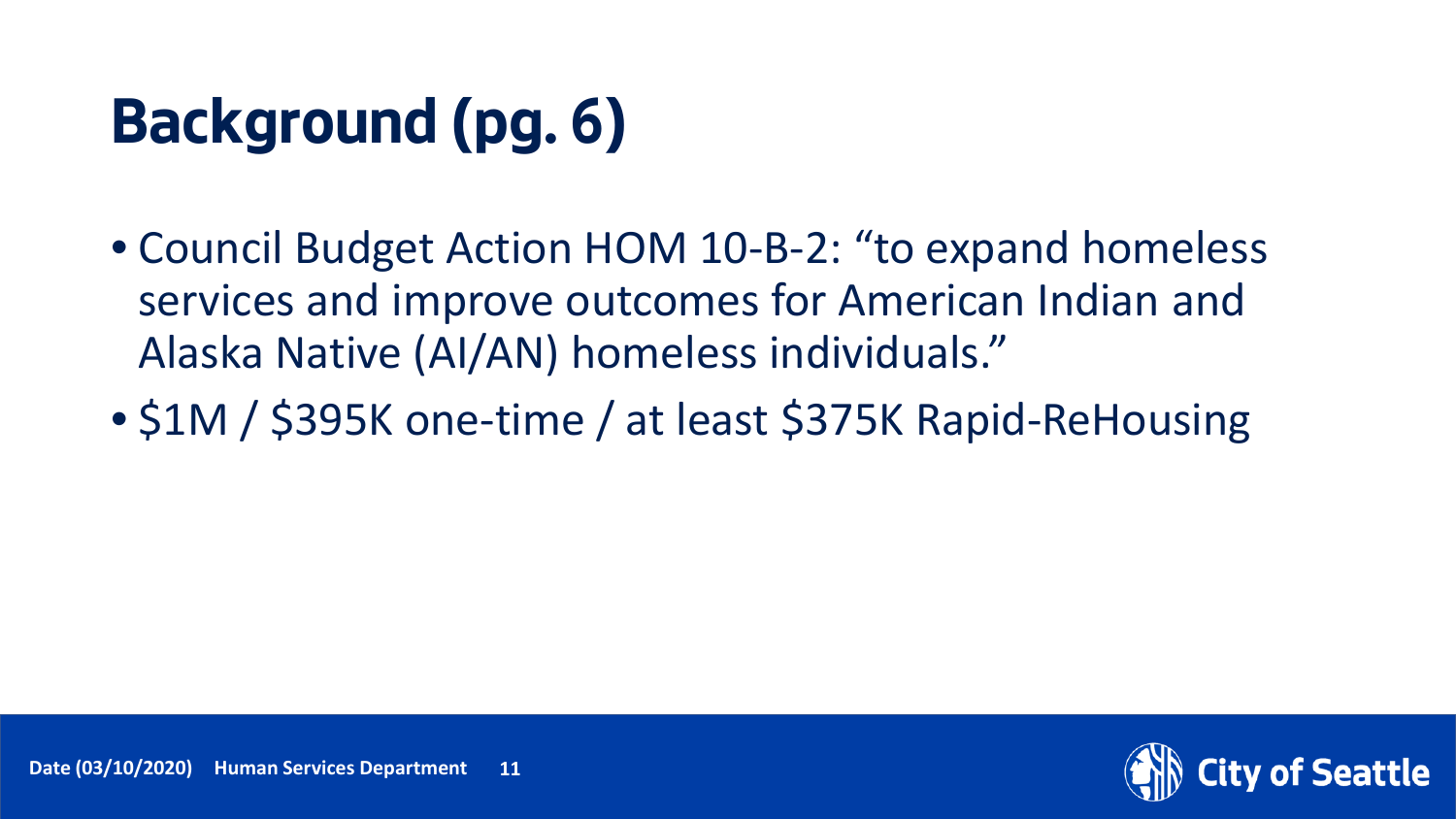### **Background (pg. 6)**

- Council Budget Action HOM 10-B-2: "to expand homeless services and improve outcomes for American Indian and Alaska Native (AI/AN) homeless individuals."
- \$1M / \$395K one-time / at least \$375K Rapid-ReHousing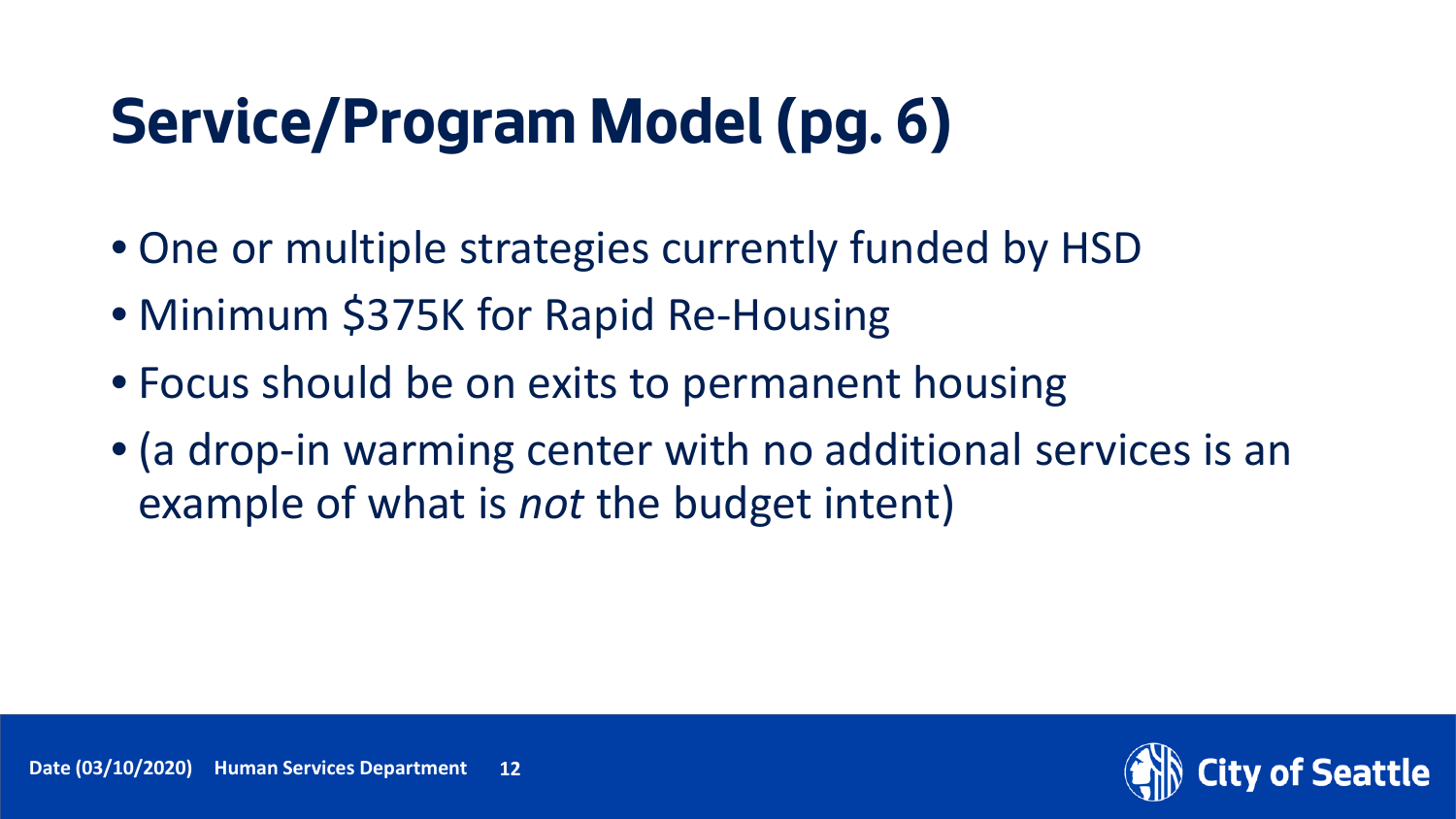#### **Service/Program Model (pg. 6)**

- One or multiple strategies currently funded by HSD
- Minimum \$375K for Rapid Re-Housing
- Focus should be on exits to permanent housing
- (a drop-in warming center with no additional services is an example of what is *not* the budget intent)

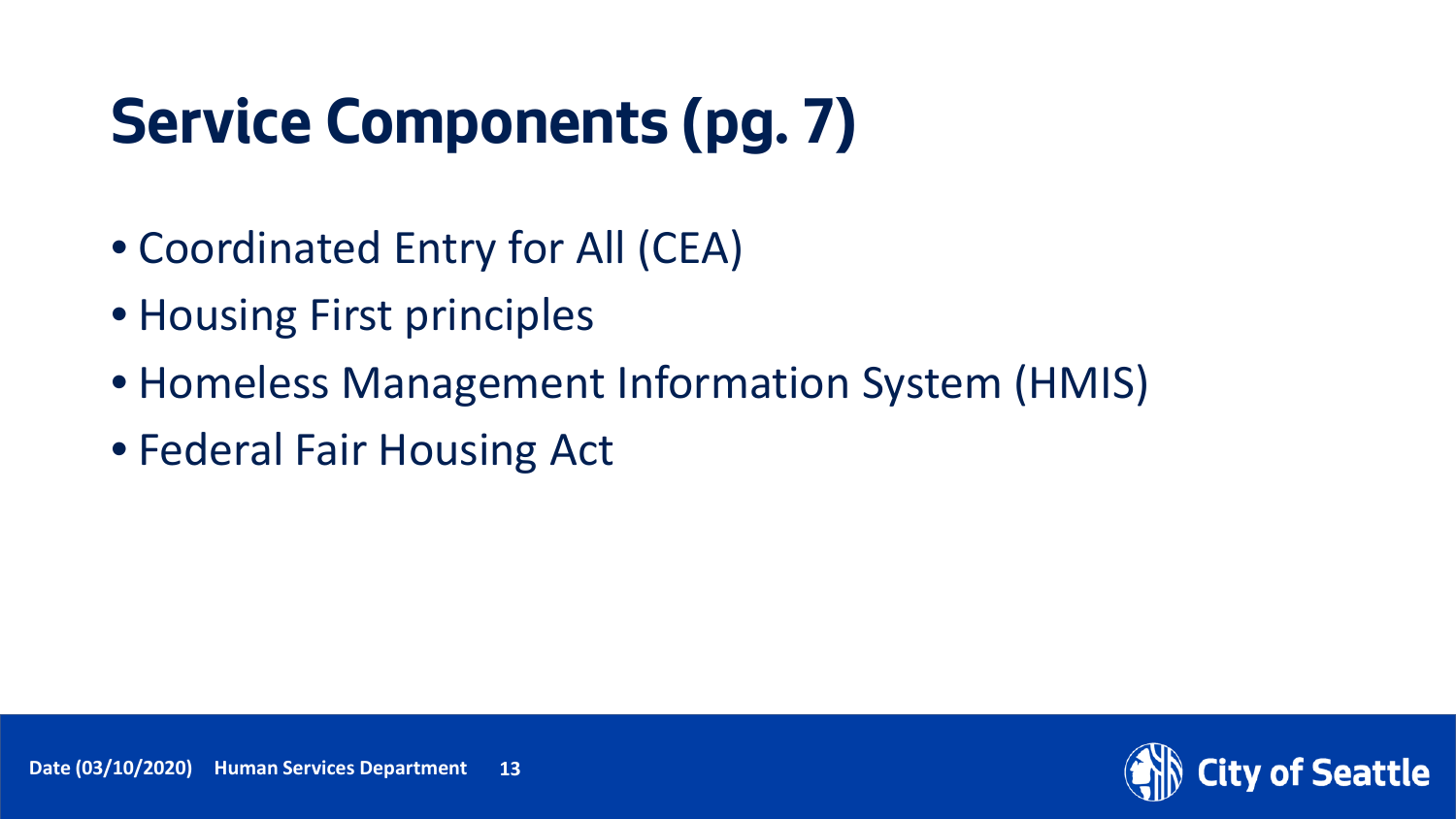# **Service Components (pg. 7)**

- Coordinated Entry for All (CEA)
- Housing First principles
- Homeless Management Information System (HMIS)
- Federal Fair Housing Act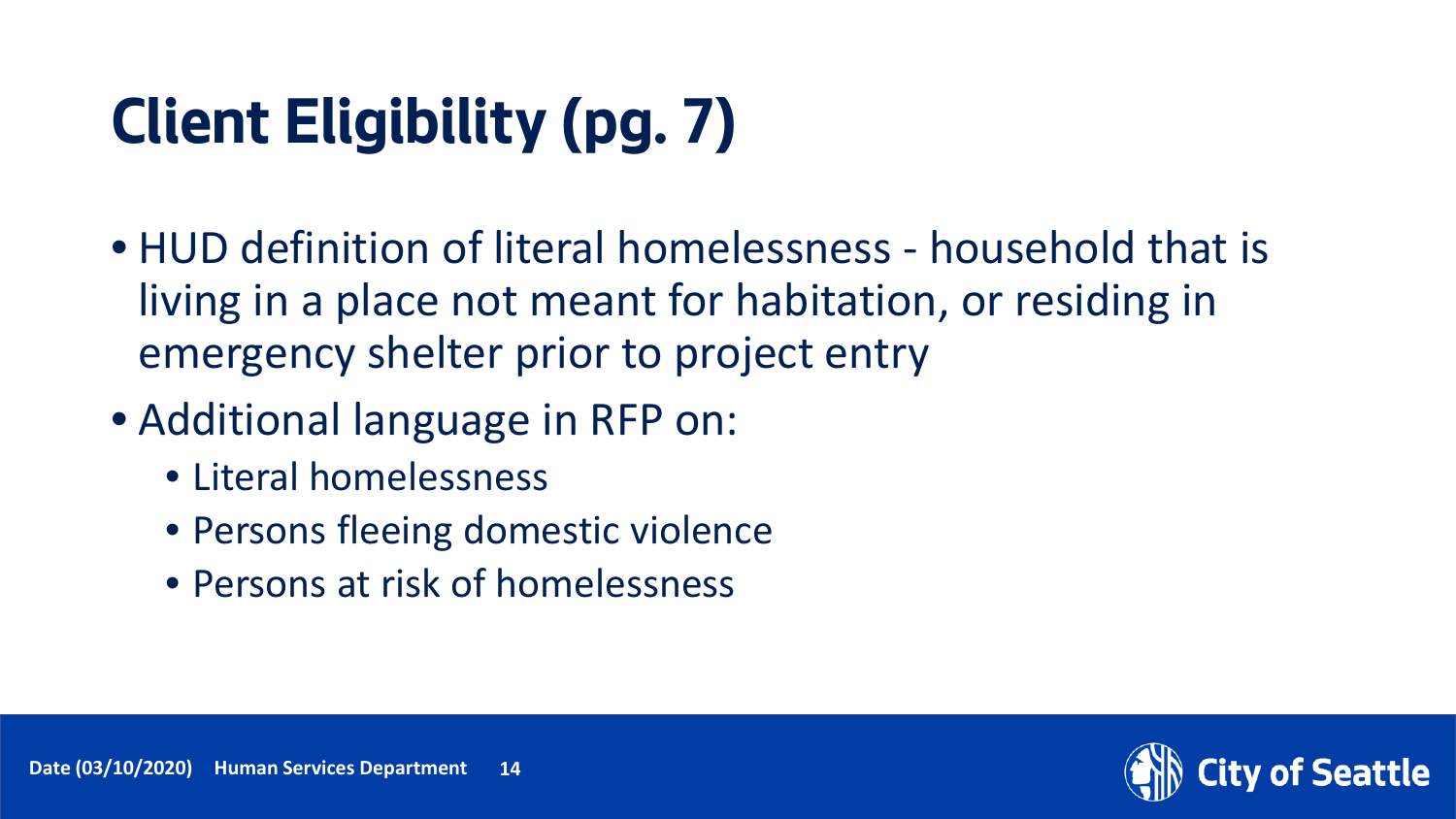# **Client Eligibility (pg. 7)**

- HUD definition of literal homelessness household that is living in a place not meant for habitation, or residing in emergency shelter prior to project entry
- Additional language in RFP on:
	- Literal homelessness
	- Persons fleeing domestic violence
	- Persons at risk of homelessness

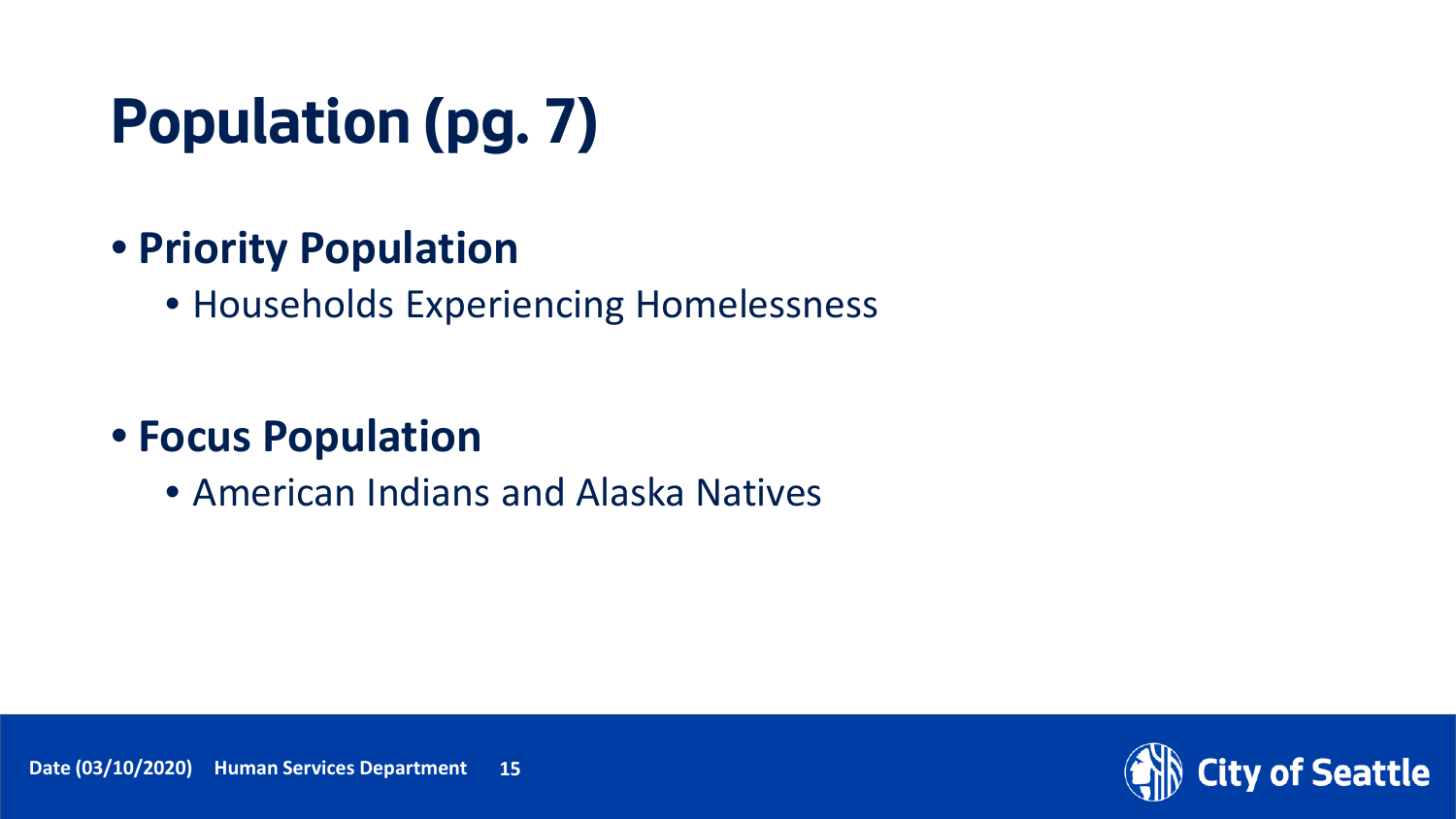# **Population (pg. 7)**

#### • **Priority Population**

• Households Experiencing Homelessness

#### • **Focus Population**

• American Indians and Alaska Natives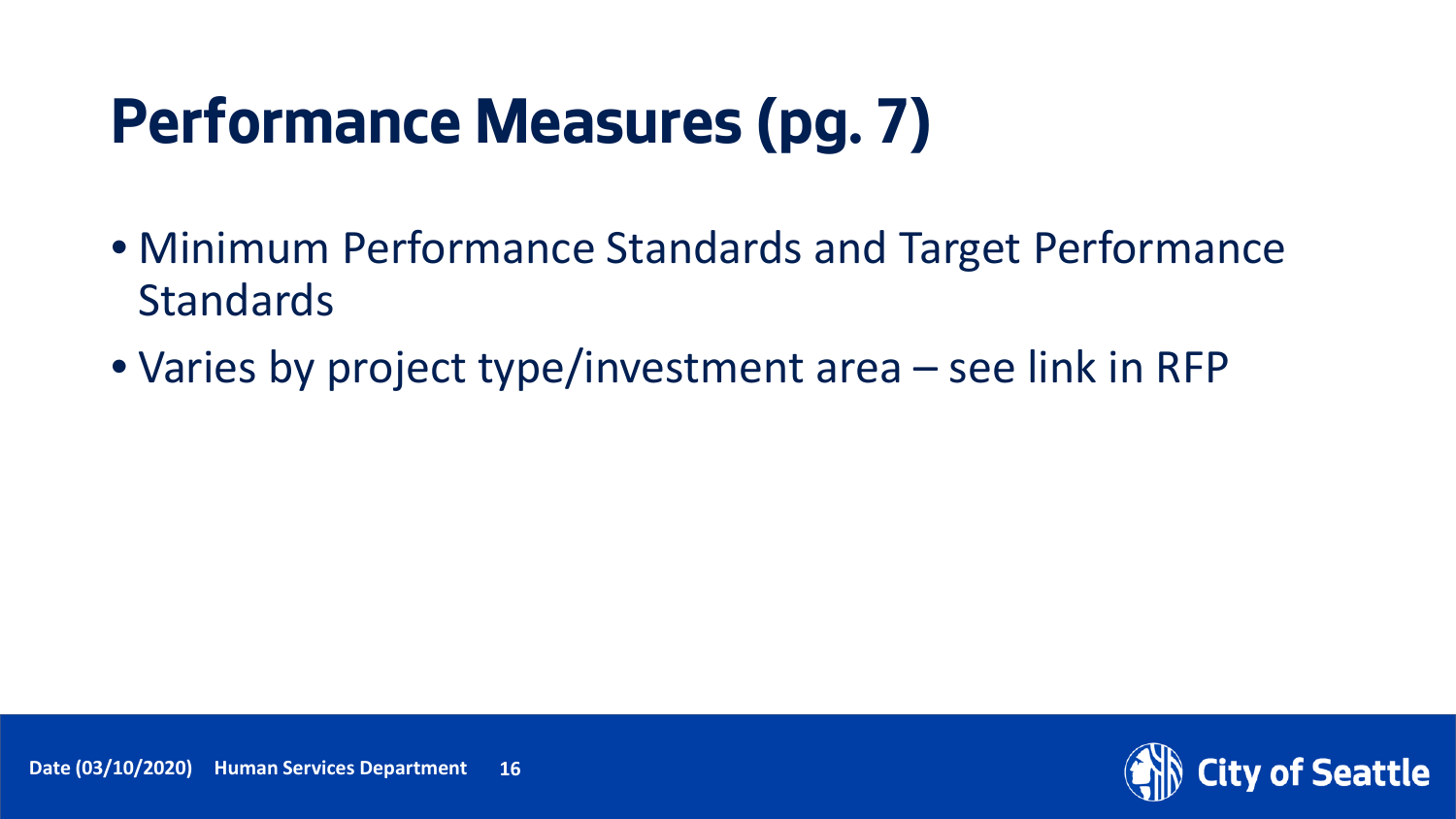#### **Performance Measures (pg. 7)**

- Minimum Performance Standards and Target Performance **Standards**
- Varies by project type/investment area see link in RFP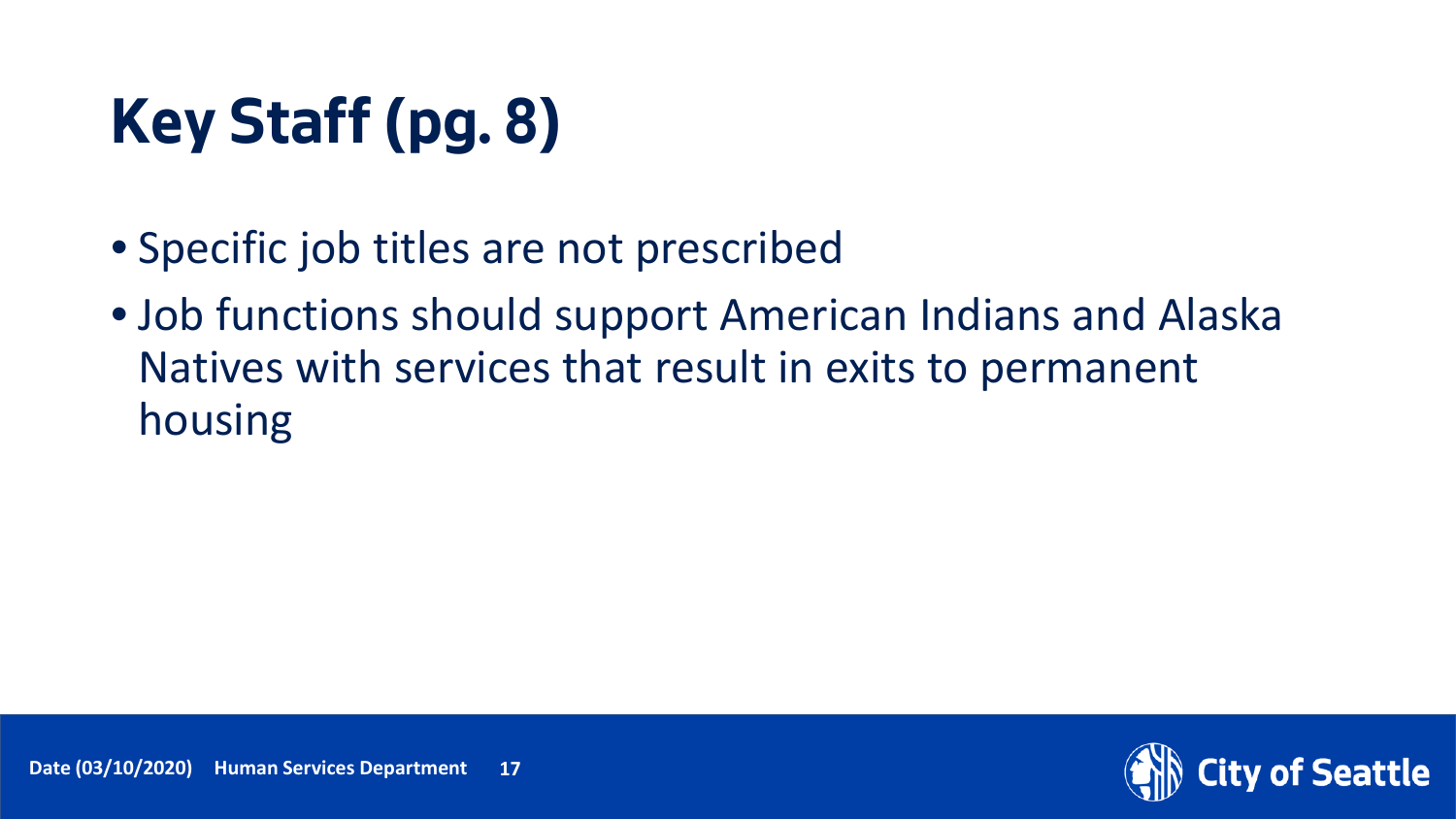# **Key Staff (pg. 8)**

- Specific job titles are not prescribed
- Job functions should support American Indians and Alaska Natives with services that result in exits to permanent housing

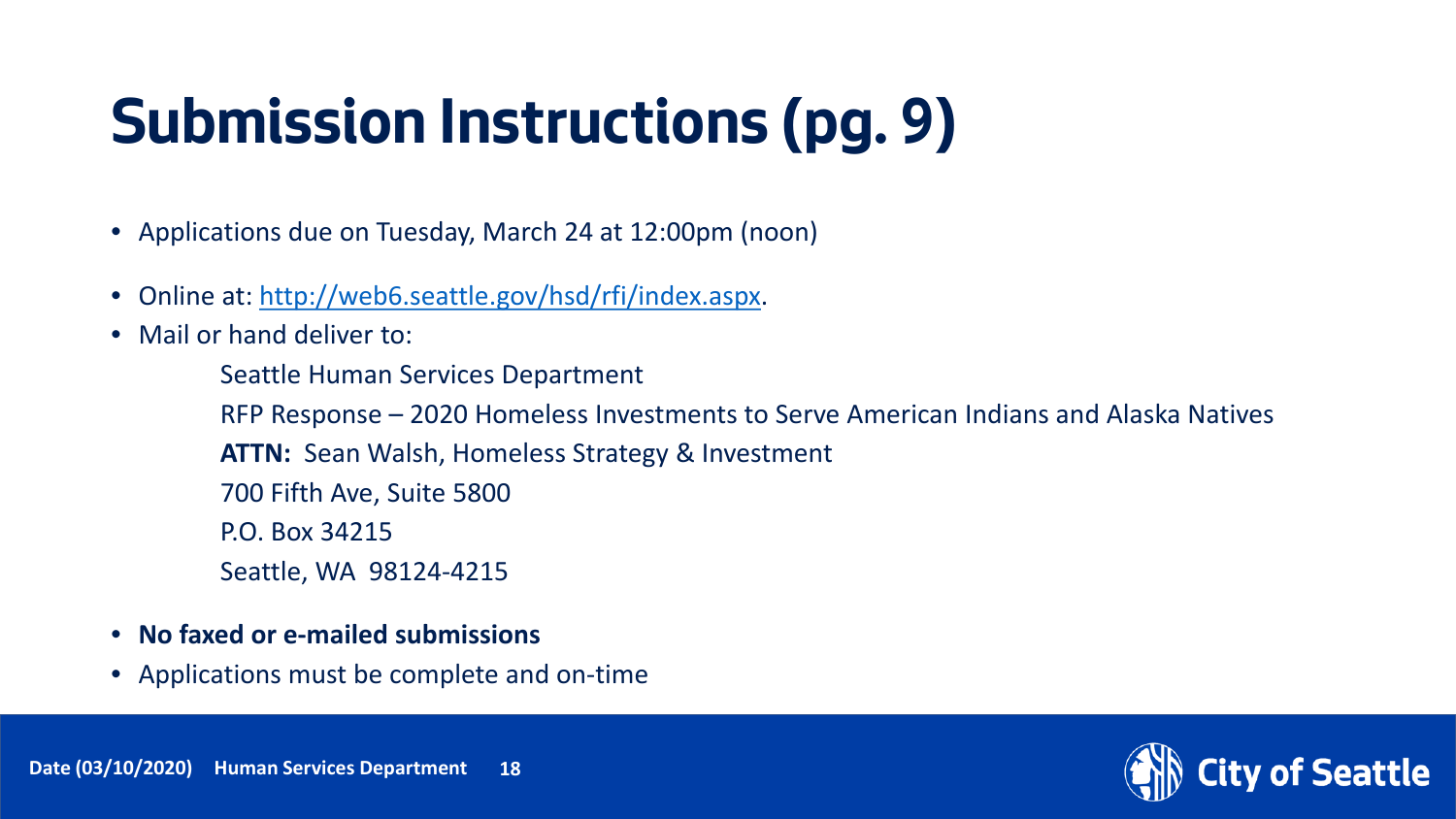## **Submission Instructions (pg. 9)**

- Applications due on Tuesday, March 24 at 12:00pm (noon)
- Online at: [http://web6.seattle.gov/hsd/rfi/index.aspx.](http://web6.seattle.gov/hsd/rfi/index.aspx)
- Mail or hand deliver to:

Seattle Human Services Department RFP Response – 2020 Homeless Investments to Serve American Indians and Alaska Natives **ATTN:** Sean Walsh, Homeless Strategy & Investment

- 700 Fifth Ave, Suite 5800
- P.O. Box 34215
- Seattle, WA 98124-4215
- **No faxed or e-mailed submissions**
- Applications must be complete and on-time

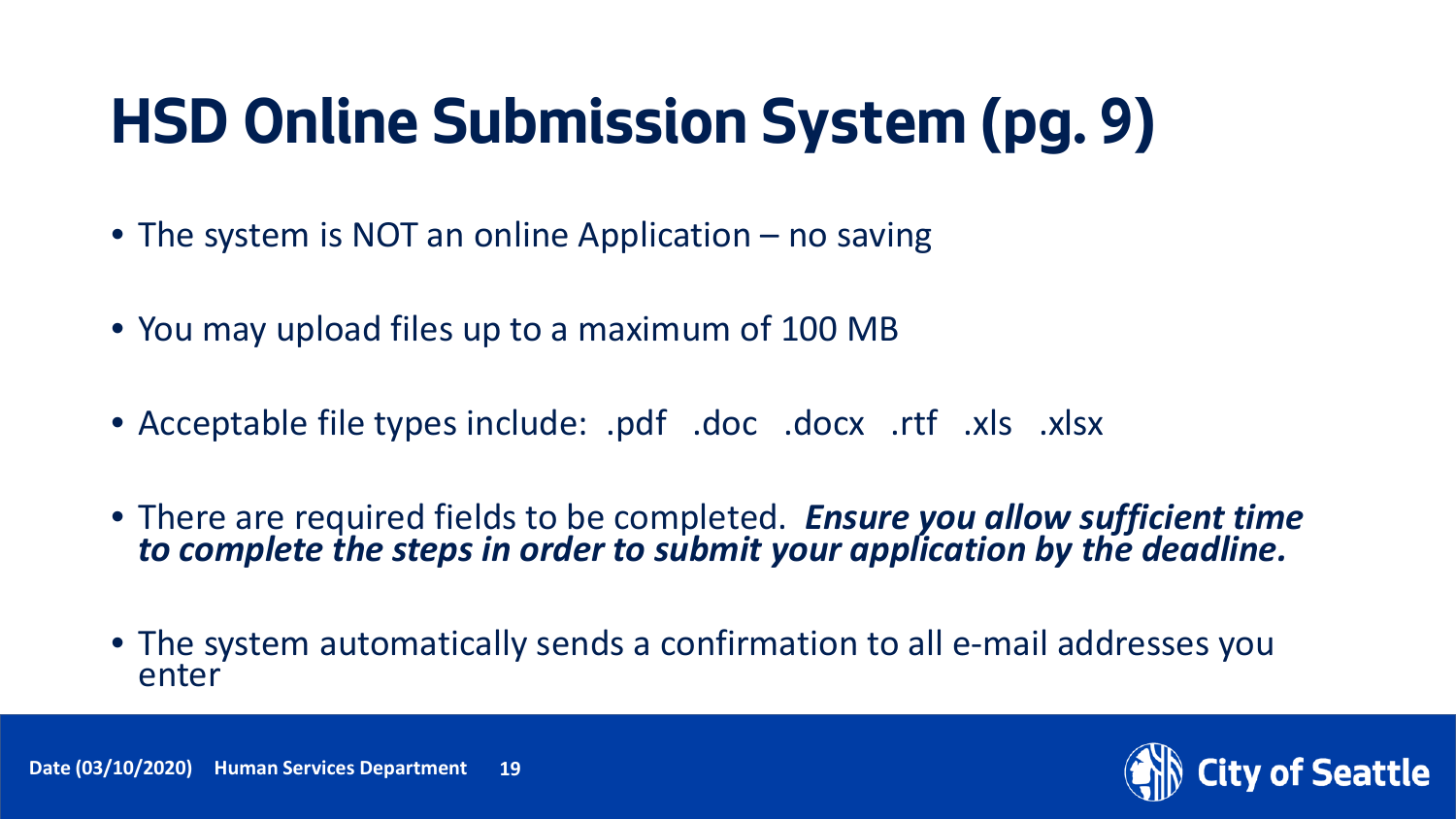#### **HSD Online Submission System (pg. 9)**

- The system is NOT an online Application no saving
- You may upload files up to a maximum of 100 MB
- Acceptable file types include: .pdf .doc .docx .rtf .xls .xlsx
- There are required fields to be completed. *Ensure you allow sufficient time to complete the steps in order to submit your application by the deadline.*
- The system automatically sends a confirmation to all e-mail addresses you enter



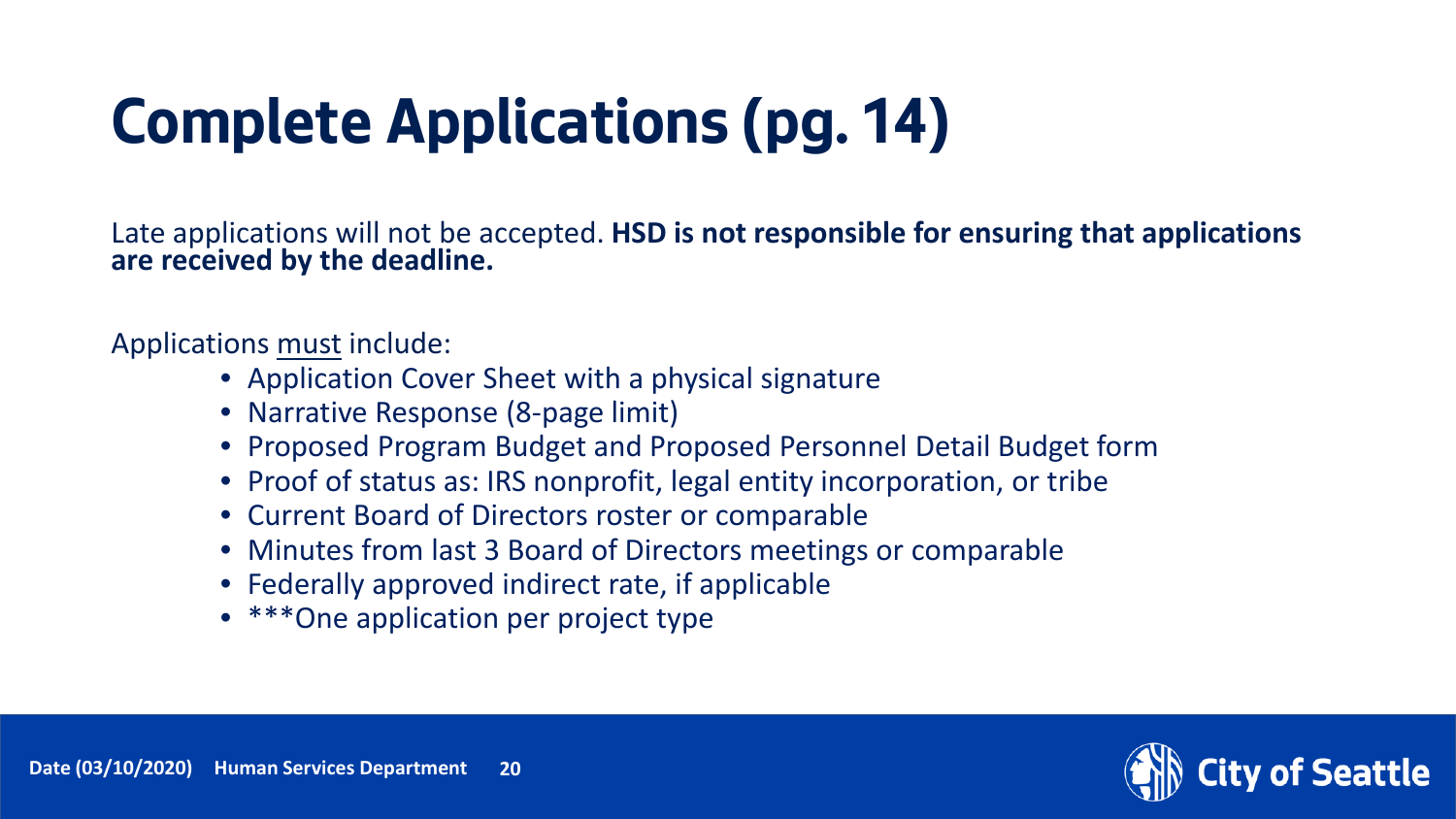# **Complete Applications (pg. 14)**

Late applications will not be accepted. **HSD is not responsible for ensuring that applications**<br>are received by the deadline.

Applications must include:

- Application Cover Sheet with a physical signature
- Narrative Response (8-page limit)
- Proposed Program Budget and Proposed Personnel Detail Budget form
- Proof of status as: IRS nonprofit, legal entity incorporation, or tribe
- Current Board of Directors roster or comparable
- Minutes from last 3 Board of Directors meetings or comparable
- Federally approved indirect rate, if applicable
- \*\*\*One application per project type

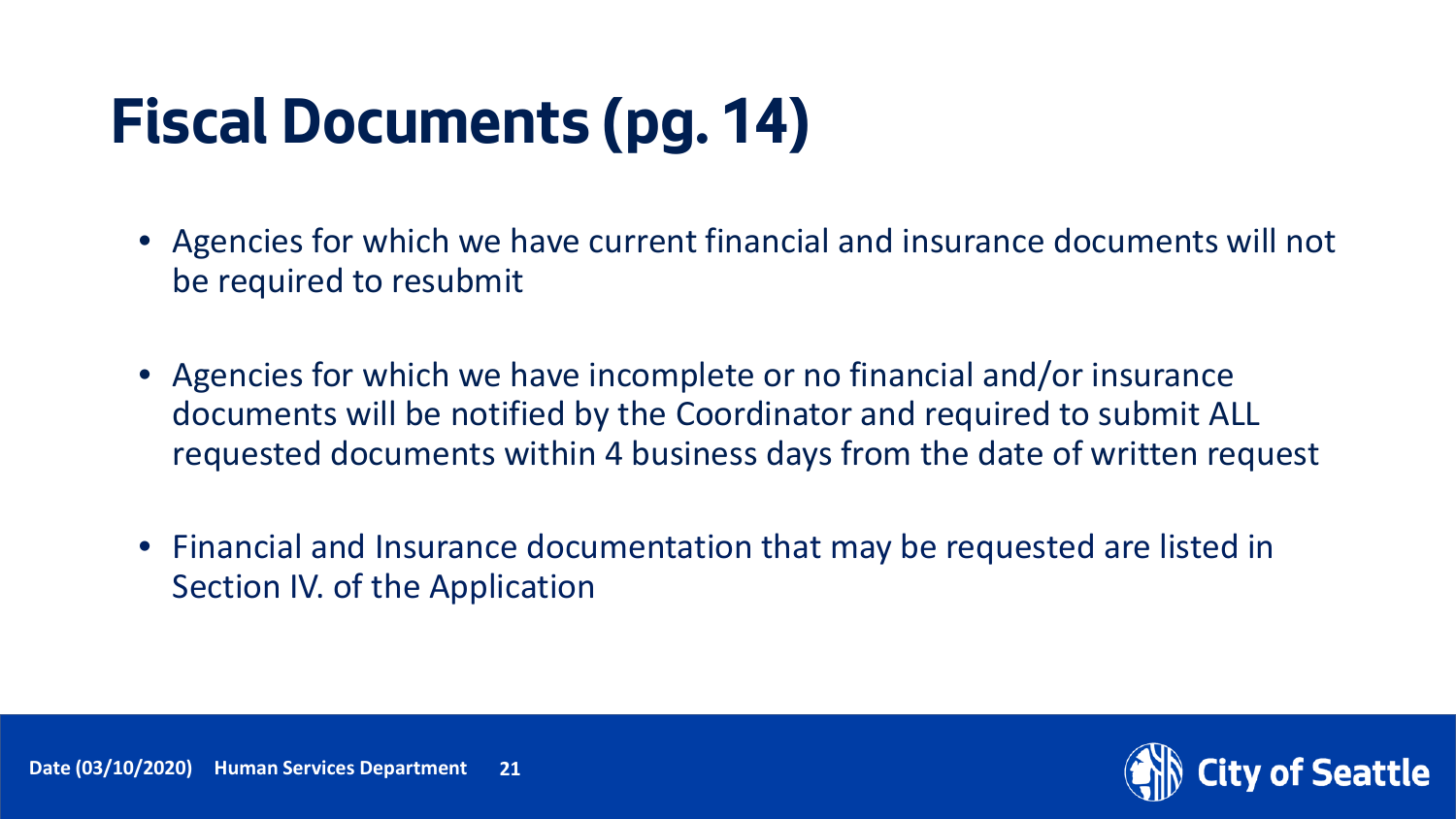## **Fiscal Documents (pg. 14)**

- Agencies for which we have current financial and insurance documents will not be required to resubmit
- Agencies for which we have incomplete or no financial and/or insurance documents will be notified by the Coordinator and required to submit ALL requested documents within 4 business days from the date of written request
- Financial and Insurance documentation that may be requested are listed in Section IV. of the Application

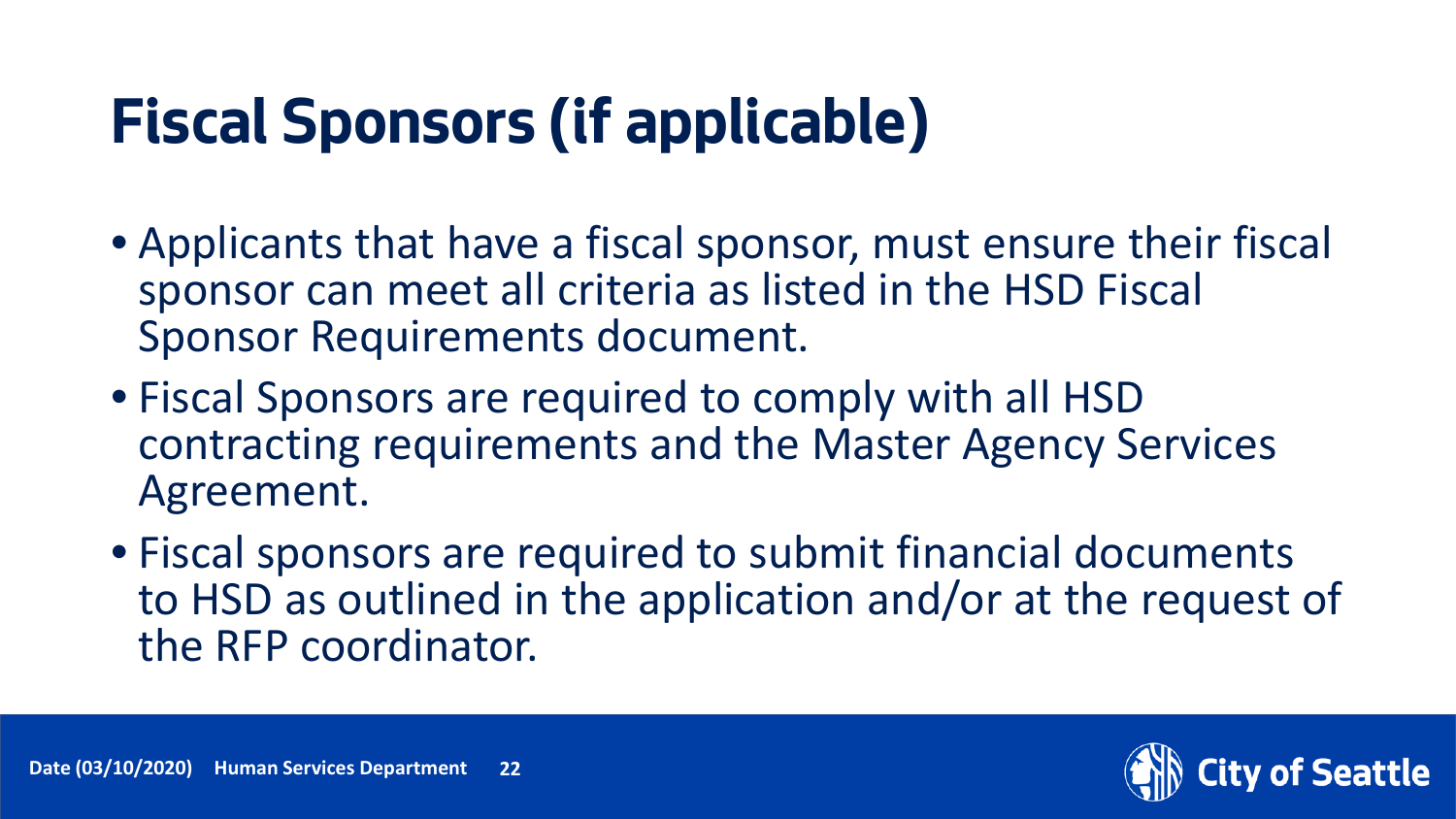## **Fiscal Sponsors (if applicable)**

- Applicants that have a fiscal sponsor, must ensure their fiscal sponsor can meet all criteria as listed in the HSD Fiscal Sponsor Requirements document.
- Fiscal Sponsors are required to comply with all HSD contracting requirements and the Master Agency Services Agreement.
- Fiscal sponsors are required to submit financial documents to HSD as outlined in the application and/or at the request of the RFP coordinator.

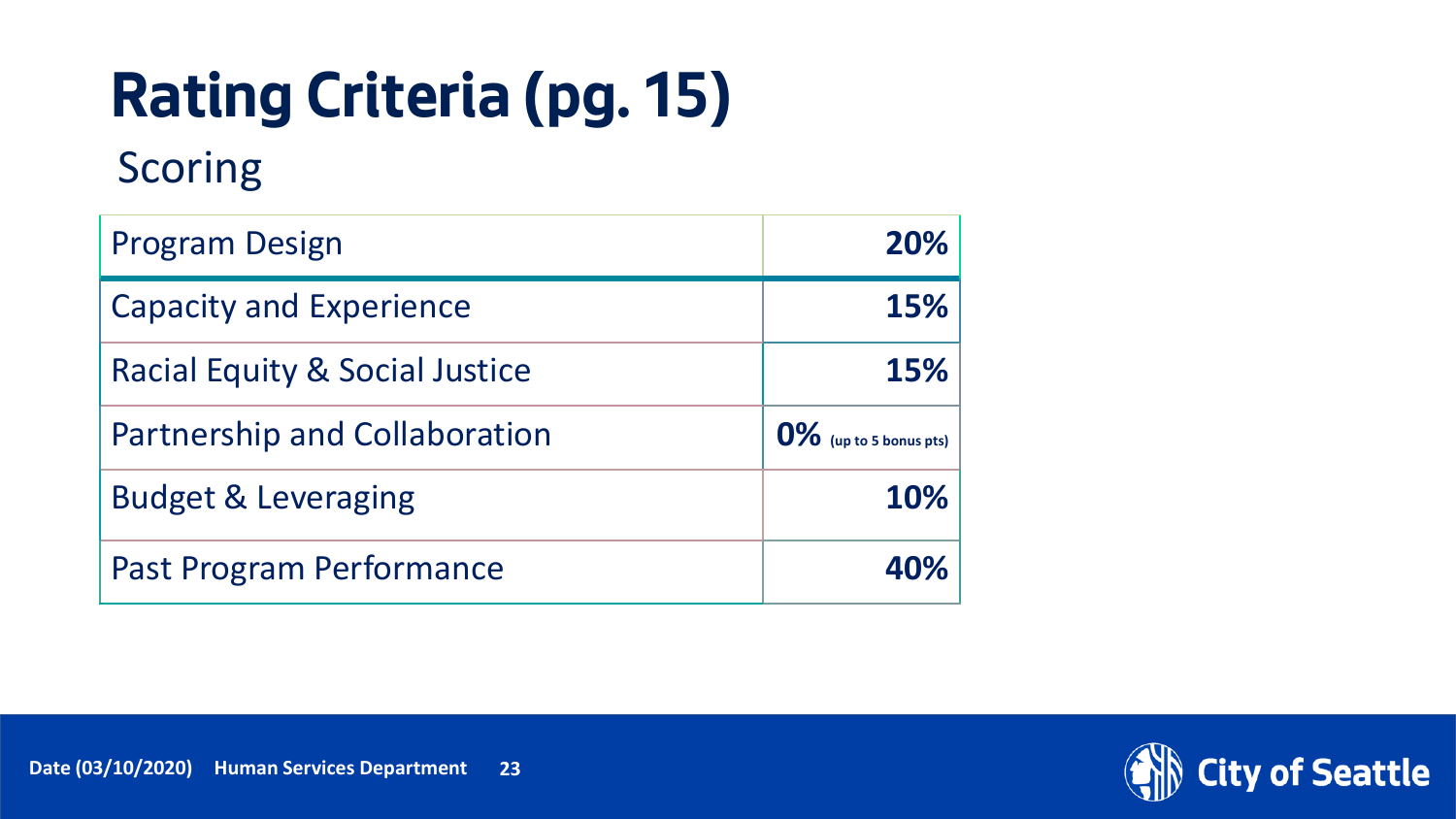# **Rating Criteria (pg. 15)**

#### Scoring

| <b>Program Design</b>                | 20%                       |
|--------------------------------------|---------------------------|
| <b>Capacity and Experience</b>       | 15%                       |
| Racial Equity & Social Justice       | 15%                       |
| <b>Partnership and Collaboration</b> | $0\%$ (up to 5 bonus pts) |
| <b>Budget &amp; Leveraging</b>       | 10%                       |
| <b>Past Program Performance</b>      | 40%                       |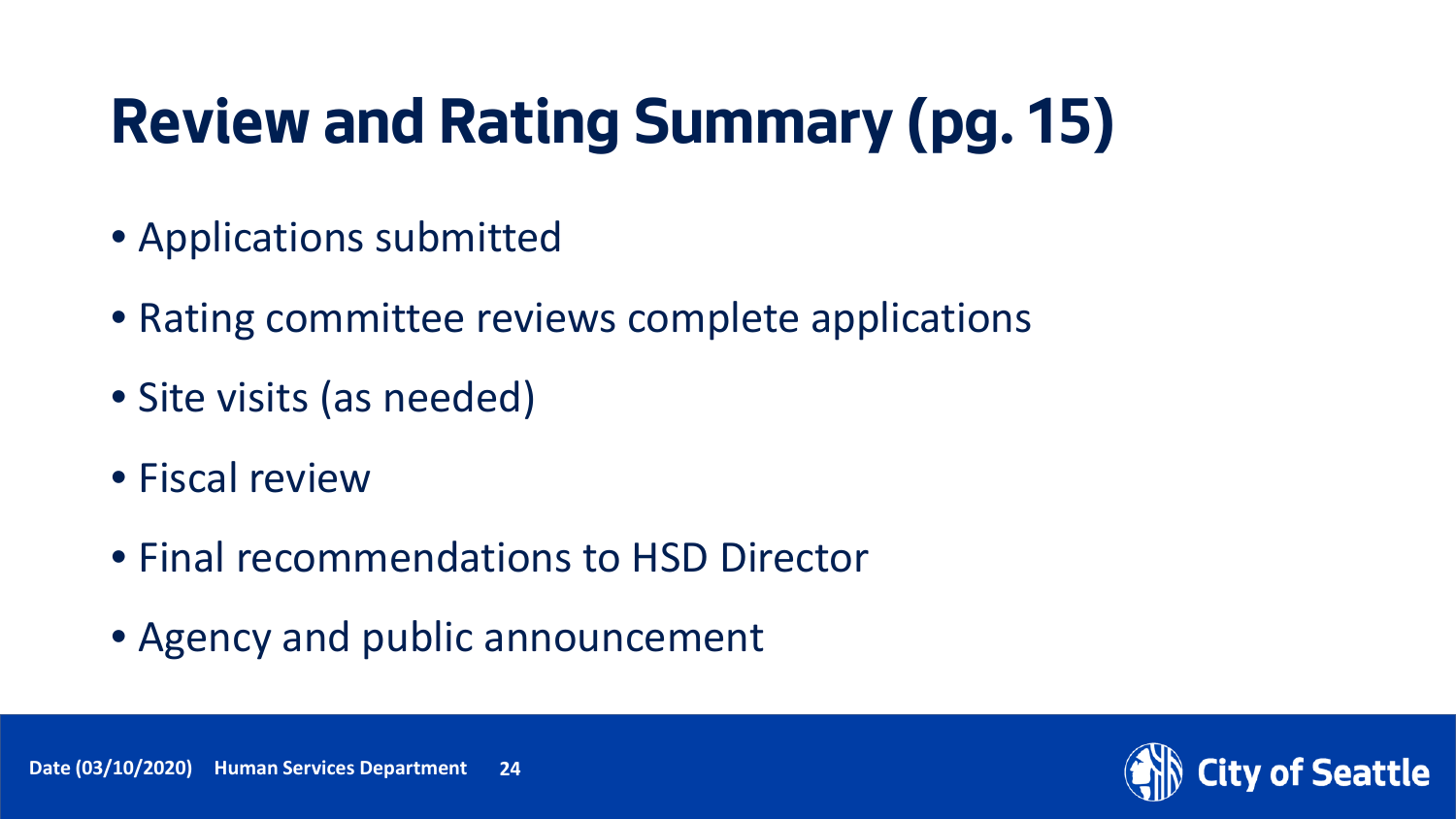## **Review and Rating Summary (pg. 15)**

- Applications submitted
- Rating committee reviews complete applications
- Site visits (as needed)
- Fiscal review
- Final recommendations to HSD Director
- Agency and public announcement

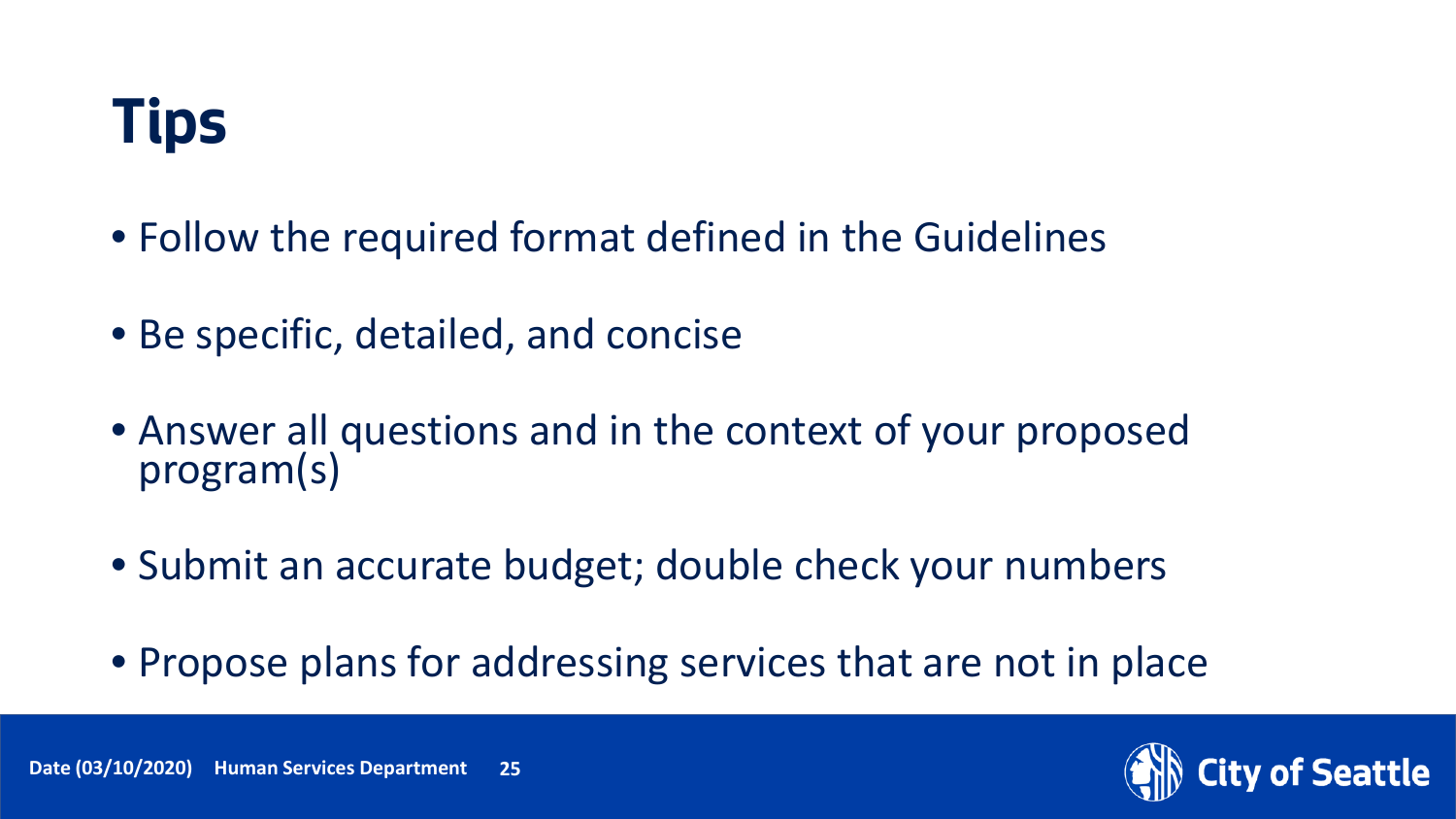

- Follow the required format defined in the Guidelines
- Be specific, detailed, and concise
- Answer all questions and in the context of your proposed program(s)
- Submit an accurate budget; double check your numbers
- Propose plans for addressing services that are not in place

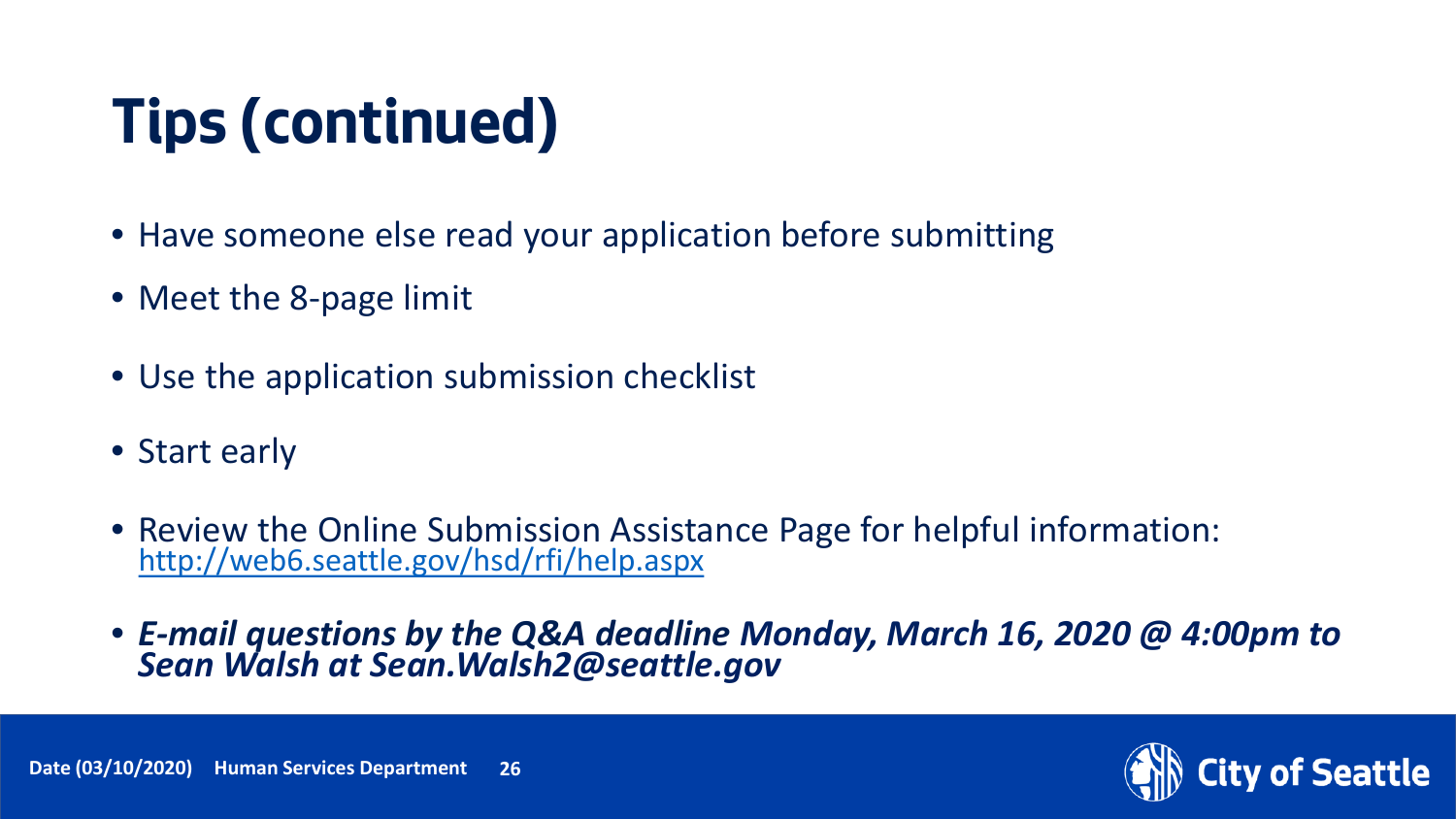# **Tips (continued)**

- Have someone else read your application before submitting
- Meet the 8-page limit
- Use the application submission checklist
- Start early
- Review the Online Submission Assistance Page for helpful information: <http://web6.seattle.gov/hsd/rfi/help.aspx>
- *E-mail questions by the Q&A deadline Monday, March 16, 2020 @ 4:00pm to Sean Walsh at Sean.Walsh2@seattle.gov*

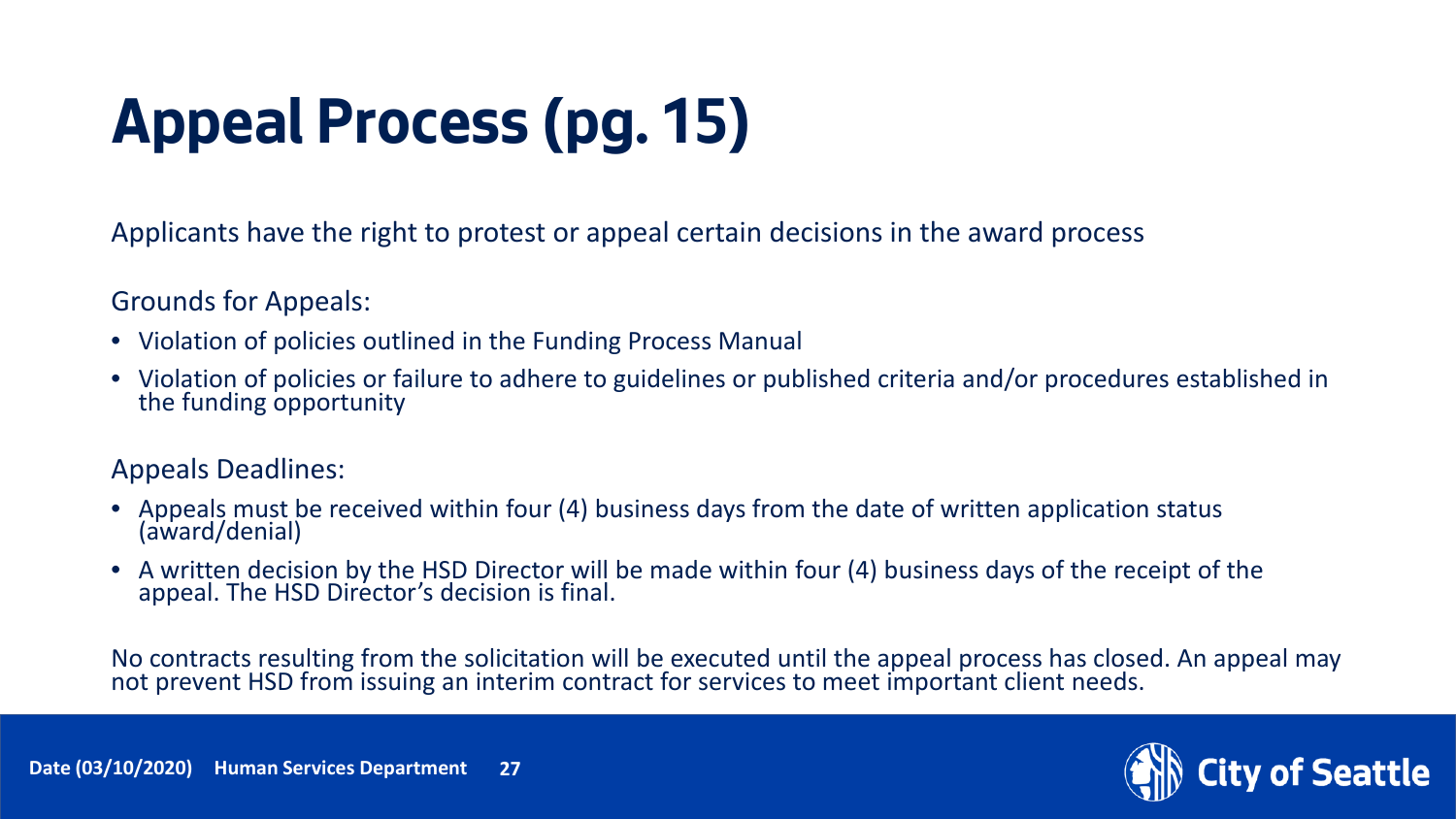# **Appeal Process (pg. 15)**

Applicants have the right to protest or appeal certain decisions in the award process

Grounds for Appeals:

- Violation of policies outlined in the Funding Process Manual
- Violation of policies or failure to adhere to guidelines or published criteria and/or procedures established in the funding opportunity

#### Appeals Deadlines:

- Appeals must be received within four (4) business days from the date of written application status (award/denial)
- A written decision by the HSD Director will be made within four (4) business days of the receipt of the appeal. The HSD Director's decision is final.

No contracts resulting from the solicitation will be executed until the appeal process has closed. An appeal may not prevent HSD from issuing an interim contract for services to meet important client needs.